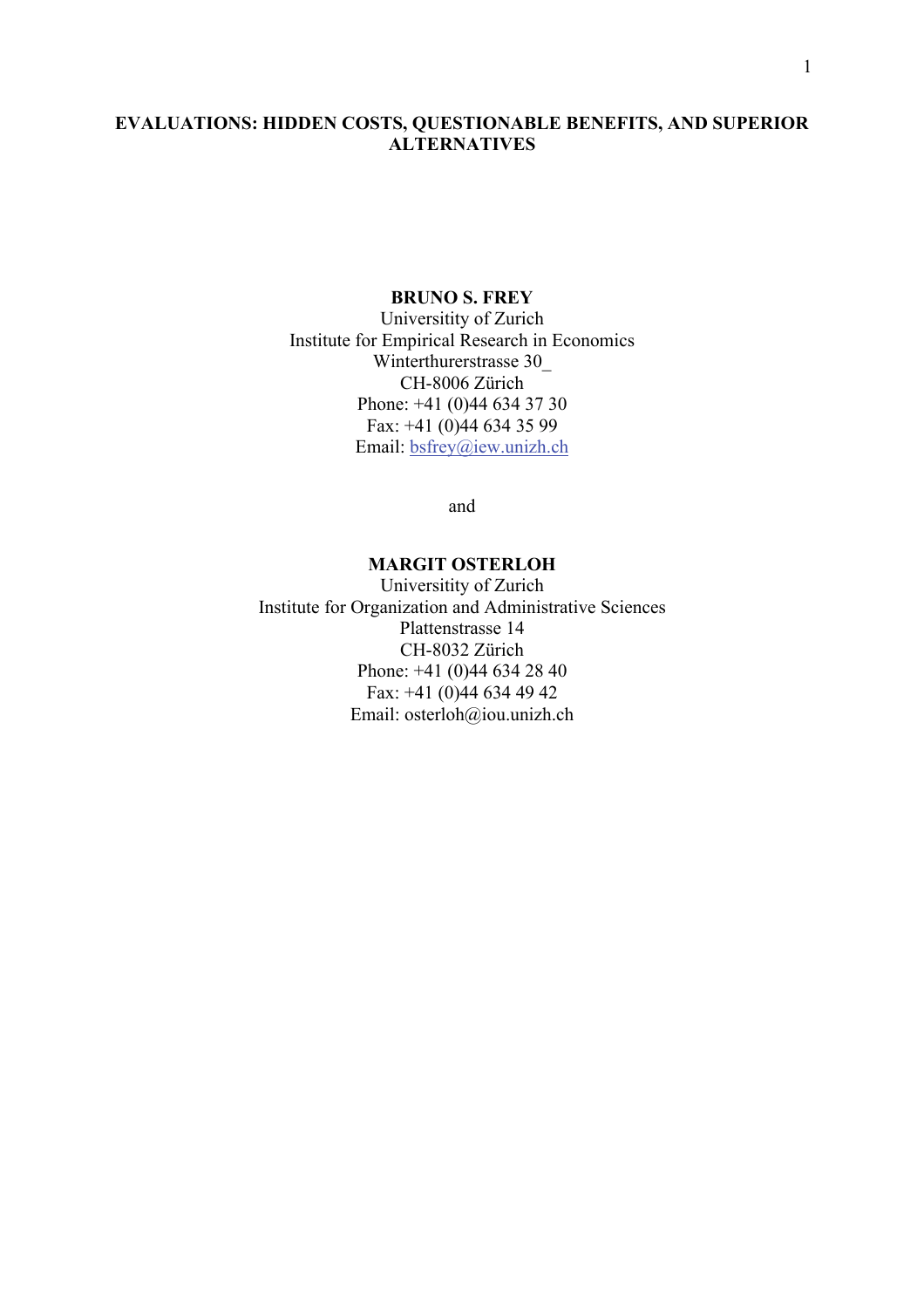## EVALUATIONS: HIDDEN COSTS, QUESTIONABLE BENEFITS, AND SUPERIOR **ALTERNATIVES**

## BRUNO S. FREY

Universitity of Zurich Institute for Empirical Research in Economics Winterthurerstrasse 30 CH-8006 Zürich Phone: +41 (0)44 634 37 30 Fax: +41 (0)44 634 35 99 Email: bsfrey@iew.unizh.ch

and

## MARGIT OSTERLOH

Universitity of Zurich Institute for Organization and Administrative Sciences Plattenstrasse 14 CH-8032 Zürich Phone: +41 (0)44 634 28 40 Fax: +41 (0)44 634 49 42 Email: osterloh@iou.unizh.ch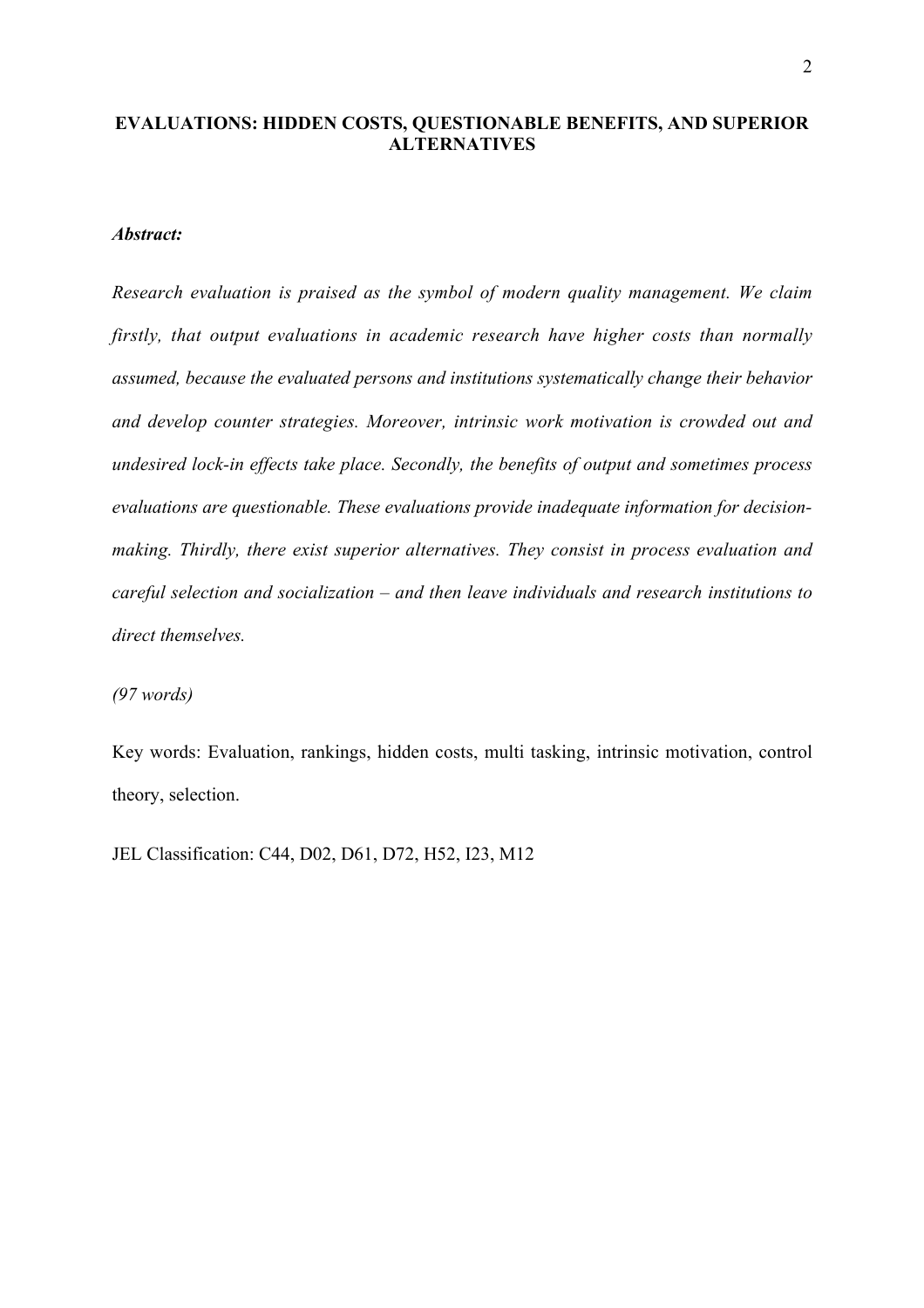## EVALUATIONS: HIDDEN COSTS, QUESTIONABLE BENEFITS, AND SUPERIOR ALTERNATIVES

## *Abstract:*

*Research evaluation is praised as the symbol of modern quality management. We claim firstly, that output evaluations in academic research have higher costs than normally assumed, because the evaluated persons and institutions systematically change their behavior and develop counter strategies. Moreover, intrinsic work motivation is crowded out and undesired lock-in effects take place. Secondly, the benefits of output and sometimes process evaluations are questionable. These evaluations provide inadequate information for decisionmaking. Thirdly, there exist superior alternatives. They consist in process evaluation and careful selection and socialization – and then leave individuals and research institutions to direct themselves.*

*(97 words)*

Key words: Evaluation, rankings, hidden costs, multi tasking, intrinsic motivation, control theory, selection.

JEL Classification: C44, D02, D61, D72, H52, I23, M12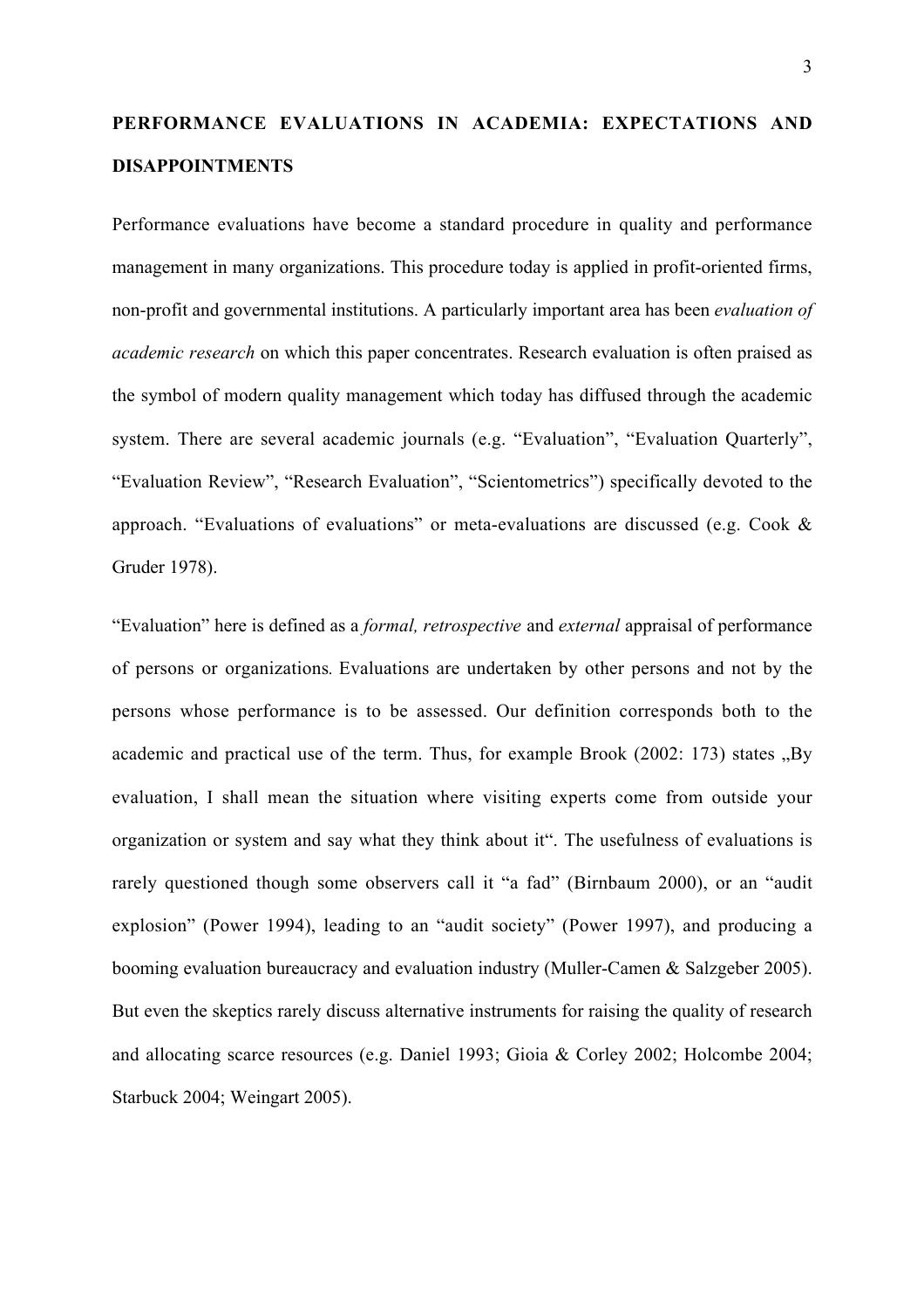# PERFORMANCE EVALUATIONS IN ACADEMIA: EXPECTATIONS AND DISAPPOINTMENTS

Performance evaluations have become a standard procedure in quality and performance management in many organizations. This procedure today is applied in profit-oriented firms, non-profit and governmental institutions. A particularly important area has been *evaluation of academic research* on which this paper concentrates. Research evaluation is often praised as the symbol of modern quality management which today has diffused through the academic system. There are several academic journals (e.g. "Evaluation", "Evaluation Quarterly", "Evaluation Review", "Research Evaluation", "Scientometrics") specifically devoted to the approach. "Evaluations of evaluations" or meta-evaluations are discussed (e.g. Cook & Gruder 1978).

"Evaluation" here is defined as a *formal, retrospective* and *external* appraisal of performance of persons or organizations*.* Evaluations are undertaken by other persons and not by the persons whose performance is to be assessed. Our definition corresponds both to the academic and practical use of the term. Thus, for example Brook  $(2002: 173)$  states  $\mathbb{R}$  By evaluation, I shall mean the situation where visiting experts come from outside your organization or system and say what they think about it". The usefulness of evaluations is rarely questioned though some observers call it "a fad" (Birnbaum 2000), or an "audit explosion" (Power 1994), leading to an "audit society" (Power 1997), and producing a booming evaluation bureaucracy and evaluation industry (Muller-Camen & Salzgeber 2005). But even the skeptics rarely discuss alternative instruments for raising the quality of research and allocating scarce resources (e.g. Daniel 1993; Gioia & Corley 2002; Holcombe 2004; Starbuck 2004; Weingart 2005).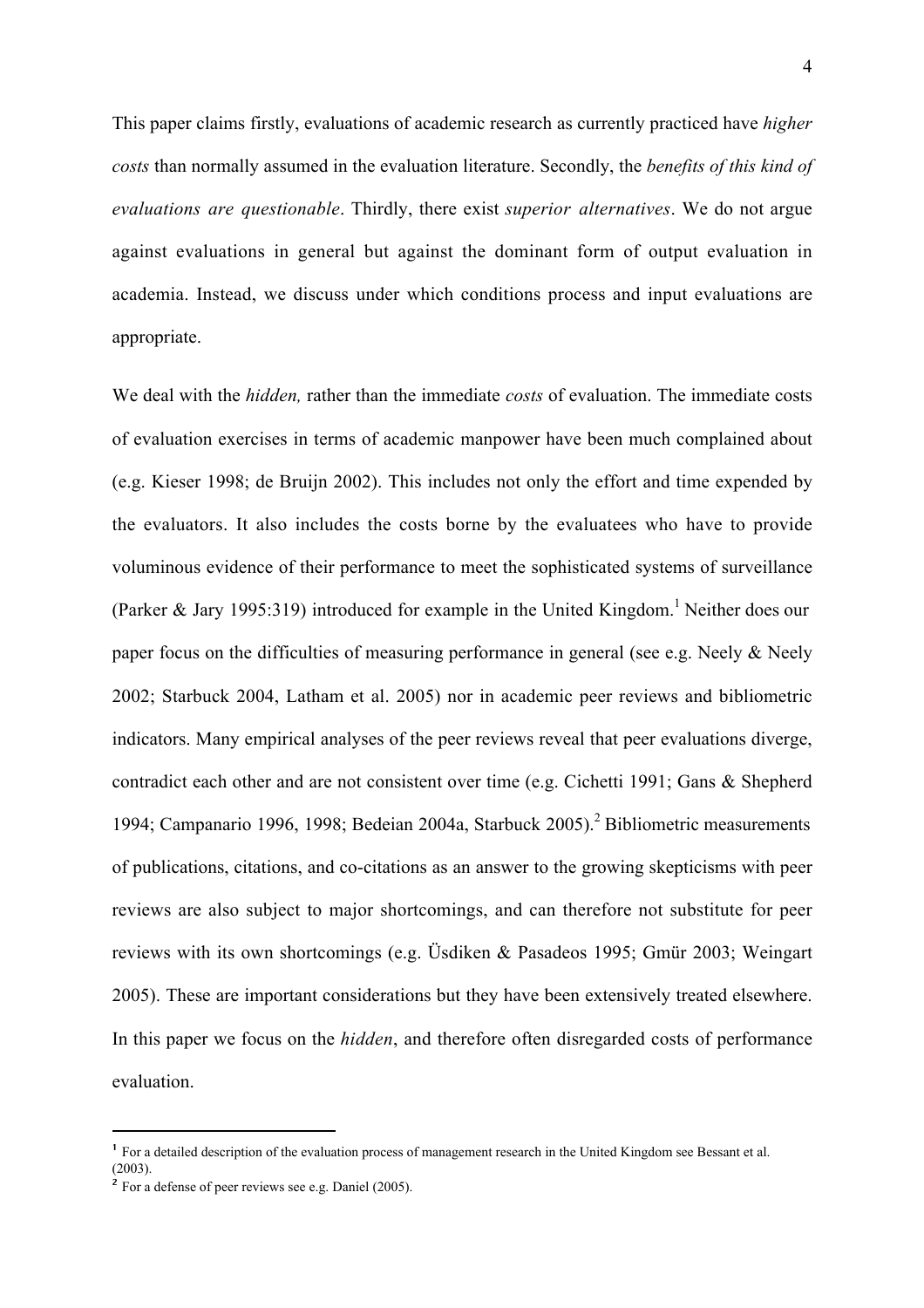This paper claims firstly, evaluations of academic research as currently practiced have *higher costs* than normally assumed in the evaluation literature. Secondly, the *benefits of this kind of evaluations are questionable*. Thirdly, there exist *superior alternatives*. We do not argue against evaluations in general but against the dominant form of output evaluation in academia. Instead, we discuss under which conditions process and input evaluations are appropriate.

We deal with the *hidden,* rather than the immediate *costs* of evaluation. The immediate costs of evaluation exercises in terms of academic manpower have been much complained about (e.g. Kieser 1998; de Bruijn 2002). This includes not only the effort and time expended by the evaluators. It also includes the costs borne by the evaluatees who have to provide voluminous evidence of their performance to meet the sophisticated systems of surveillance (Parker & Jary 1995:319) introduced for example in the United Kingdom.<sup>1</sup> Neither does our paper focus on the difficulties of measuring performance in general (see e.g. Neely & Neely 2002; Starbuck 2004, Latham et al. 2005) nor in academic peer reviews and bibliometric indicators. Many empirical analyses of the peer reviews reveal that peer evaluations diverge, contradict each other and are not consistent over time (e.g. Cichetti 1991; Gans & Shepherd 1994; Campanario 1996, 1998; Bedeian 2004a, Starbuck 2005).<sup>2</sup> Bibliometric measurements of publications, citations, and co-citations as an answer to the growing skepticisms with peer reviews are also subject to major shortcomings, and can therefore not substitute for peer reviews with its own shortcomings (e.g. Üsdiken & Pasadeos 1995; Gmür 2003; Weingart 2005). These are important considerations but they have been extensively treated elsewhere. In this paper we focus on the *hidden*, and therefore often disregarded costs of performance evaluation.

 <sup>1</sup> For a detailed description of the evaluation process of management research in the United Kingdom see Bessant et al. (2003).

<sup>2</sup> For a defense of peer reviews see e.g. Daniel (2005).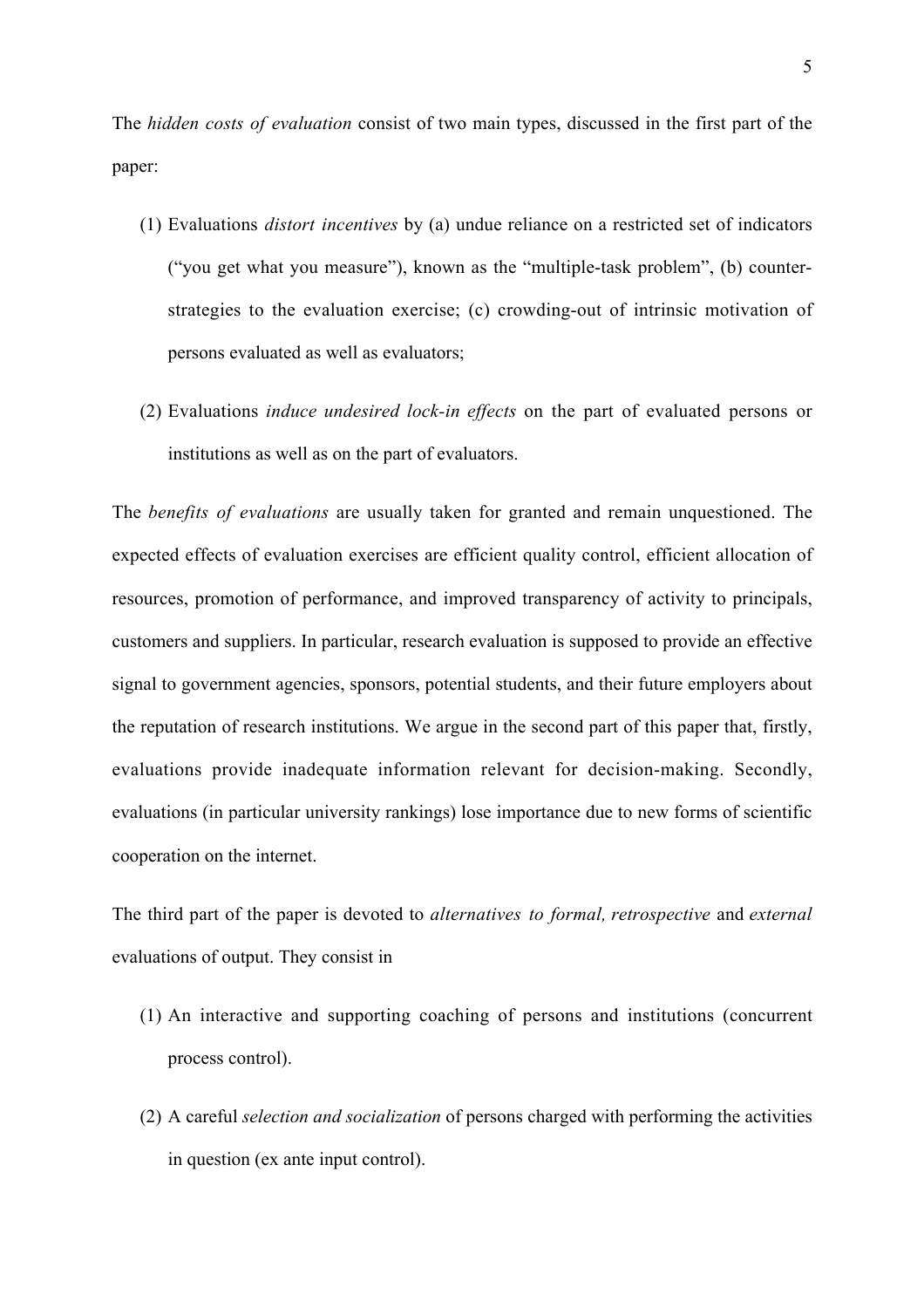The *hidden costs of evaluation* consist of two main types, discussed in the first part of the paper:

- (1) Evaluations *distort incentives* by (a) undue reliance on a restricted set of indicators ("you get what you measure"), known as the "multiple-task problem", (b) counterstrategies to the evaluation exercise; (c) crowding-out of intrinsic motivation of persons evaluated as well as evaluators;
- (2) Evaluations *induce undesired lock-in effects* on the part of evaluated persons or institutions as well as on the part of evaluators.

The *benefits of evaluations* are usually taken for granted and remain unquestioned. The expected effects of evaluation exercises are efficient quality control, efficient allocation of resources, promotion of performance, and improved transparency of activity to principals, customers and suppliers. In particular, research evaluation is supposed to provide an effective signal to government agencies, sponsors, potential students, and their future employers about the reputation of research institutions. We argue in the second part of this paper that, firstly, evaluations provide inadequate information relevant for decision-making. Secondly, evaluations (in particular university rankings) lose importance due to new forms of scientific cooperation on the internet.

The third part of the paper is devoted to *alternatives to formal, retrospective* and *external* evaluations of output. They consist in

- (1) An interactive and supporting coaching of persons and institutions (concurrent process control).
- (2) A careful *selection and socialization* of persons charged with performing the activities in question (ex ante input control).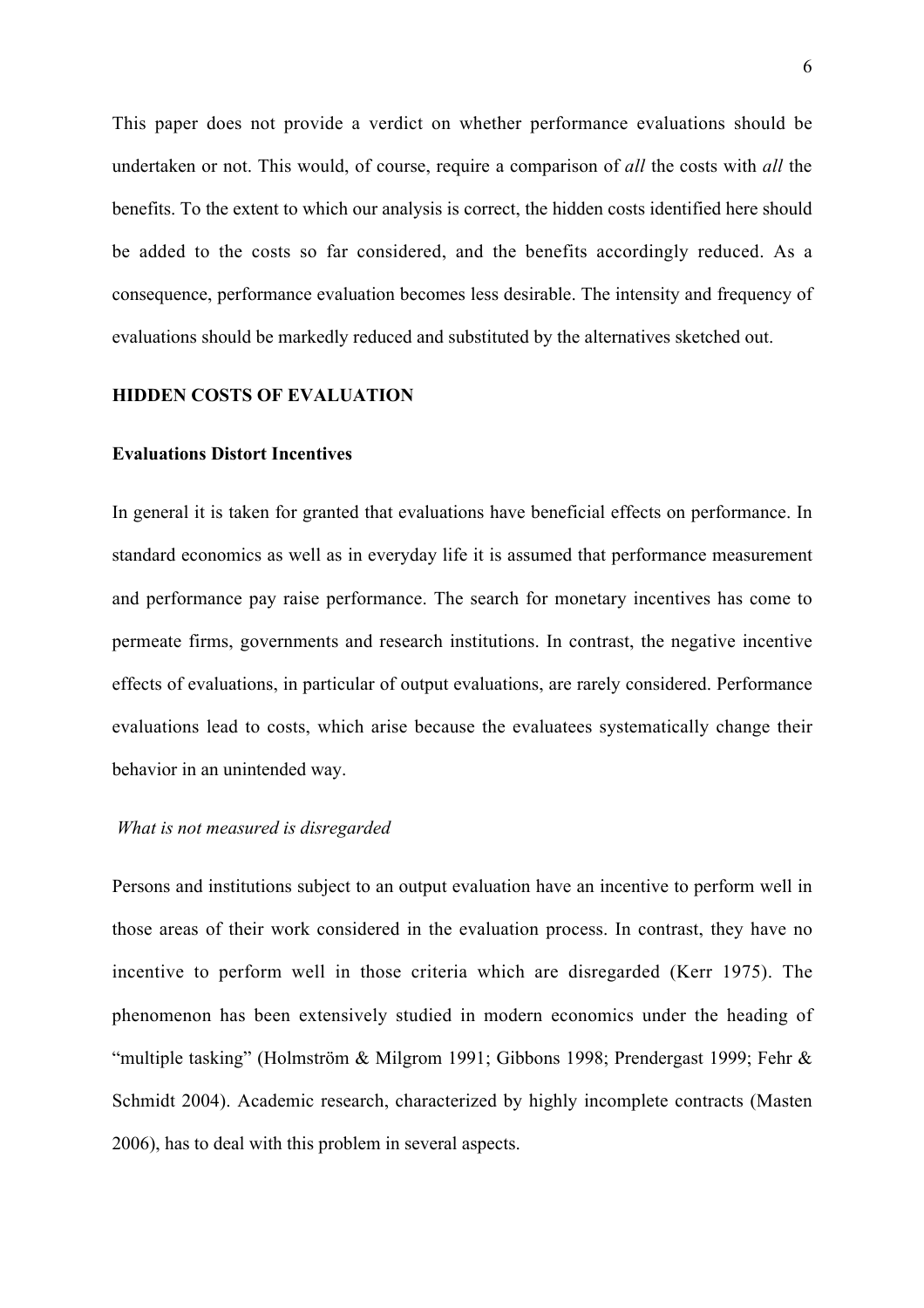This paper does not provide a verdict on whether performance evaluations should be undertaken or not. This would, of course, require a comparison of *all* the costs with *all* the benefits. To the extent to which our analysis is correct, the hidden costs identified here should be added to the costs so far considered, and the benefits accordingly reduced. As a consequence, performance evaluation becomes less desirable. The intensity and frequency of evaluations should be markedly reduced and substituted by the alternatives sketched out.

#### HIDDEN COSTS OF EVALUATION

#### Evaluations Distort Incentives

In general it is taken for granted that evaluations have beneficial effects on performance. In standard economics as well as in everyday life it is assumed that performance measurement and performance pay raise performance. The search for monetary incentives has come to permeate firms, governments and research institutions. In contrast, the negative incentive effects of evaluations, in particular of output evaluations, are rarely considered. Performance evaluations lead to costs, which arise because the evaluatees systematically change their behavior in an unintended way.

#### *What is not measured is disregarded*

Persons and institutions subject to an output evaluation have an incentive to perform well in those areas of their work considered in the evaluation process. In contrast, they have no incentive to perform well in those criteria which are disregarded (Kerr 1975). The phenomenon has been extensively studied in modern economics under the heading of "multiple tasking" (Holmström & Milgrom 1991; Gibbons 1998; Prendergast 1999; Fehr & Schmidt 2004). Academic research, characterized by highly incomplete contracts (Masten 2006), has to deal with this problem in several aspects.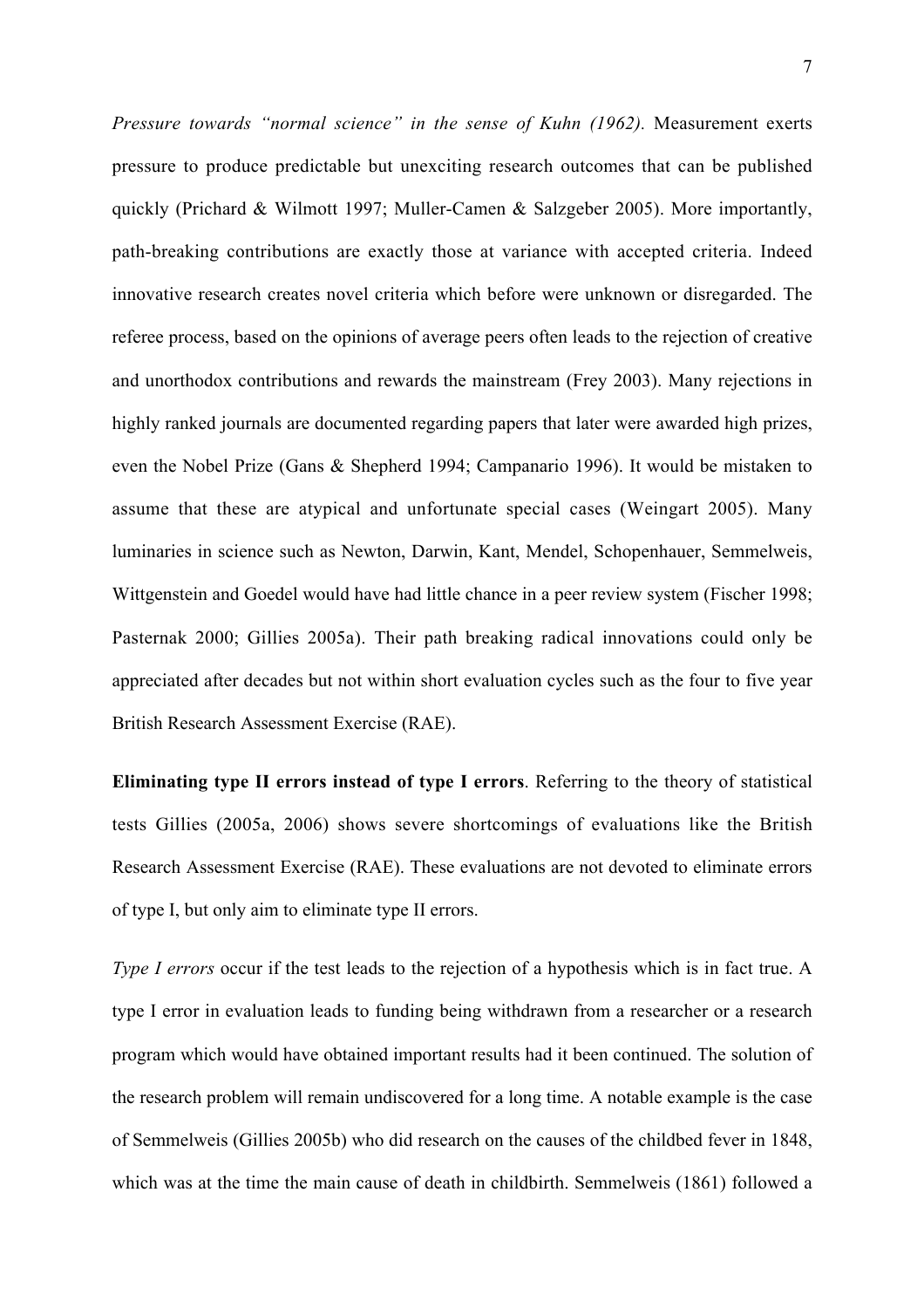*Pressure towards "normal science" in the sense of Kuhn (1962).* Measurement exerts pressure to produce predictable but unexciting research outcomes that can be published quickly (Prichard & Wilmott 1997; Muller-Camen & Salzgeber 2005). More importantly, path-breaking contributions are exactly those at variance with accepted criteria. Indeed innovative research creates novel criteria which before were unknown or disregarded. The referee process, based on the opinions of average peers often leads to the rejection of creative and unorthodox contributions and rewards the mainstream (Frey 2003). Many rejections in highly ranked journals are documented regarding papers that later were awarded high prizes, even the Nobel Prize (Gans & Shepherd 1994; Campanario 1996). It would be mistaken to assume that these are atypical and unfortunate special cases (Weingart 2005). Many luminaries in science such as Newton, Darwin, Kant, Mendel, Schopenhauer, Semmelweis, Wittgenstein and Goedel would have had little chance in a peer review system (Fischer 1998; Pasternak 2000; Gillies 2005a). Their path breaking radical innovations could only be appreciated after decades but not within short evaluation cycles such as the four to five year British Research Assessment Exercise (RAE).

Eliminating type II errors instead of type I errors. Referring to the theory of statistical tests Gillies (2005a, 2006) shows severe shortcomings of evaluations like the British Research Assessment Exercise (RAE). These evaluations are not devoted to eliminate errors of type I, but only aim to eliminate type II errors.

*Type I errors* occur if the test leads to the rejection of a hypothesis which is in fact true. A type I error in evaluation leads to funding being withdrawn from a researcher or a research program which would have obtained important results had it been continued. The solution of the research problem will remain undiscovered for a long time. A notable example is the case of Semmelweis (Gillies 2005b) who did research on the causes of the childbed fever in 1848, which was at the time the main cause of death in childbirth. Semmelweis (1861) followed a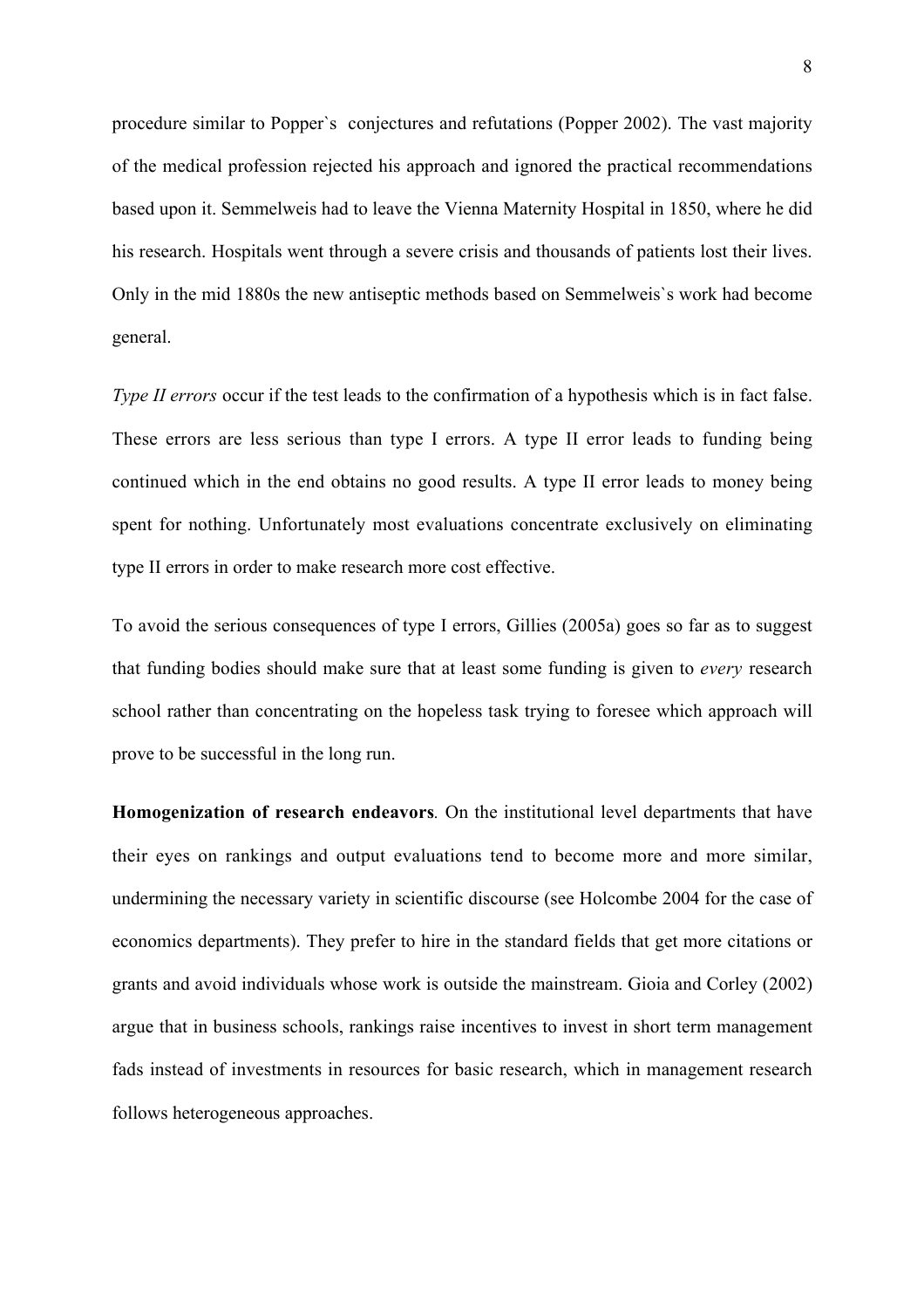procedure similar to Popper`s conjectures and refutations (Popper 2002). The vast majority of the medical profession rejected his approach and ignored the practical recommendations based upon it. Semmelweis had to leave the Vienna Maternity Hospital in 1850, where he did his research. Hospitals went through a severe crisis and thousands of patients lost their lives. Only in the mid 1880s the new antiseptic methods based on Semmelweis`s work had become general.

*Type II errors* occur if the test leads to the confirmation of a hypothesis which is in fact false. These errors are less serious than type I errors. A type II error leads to funding being continued which in the end obtains no good results. A type II error leads to money being spent for nothing. Unfortunately most evaluations concentrate exclusively on eliminating type II errors in order to make research more cost effective.

To avoid the serious consequences of type I errors, Gillies (2005a) goes so far as to suggest that funding bodies should make sure that at least some funding is given to *every* research school rather than concentrating on the hopeless task trying to foresee which approach will prove to be successful in the long run.

Homogenization of research endeavors*.* On the institutional level departments that have their eyes on rankings and output evaluations tend to become more and more similar, undermining the necessary variety in scientific discourse (see Holcombe 2004 for the case of economics departments). They prefer to hire in the standard fields that get more citations or grants and avoid individuals whose work is outside the mainstream. Gioia and Corley (2002) argue that in business schools, rankings raise incentives to invest in short term management fads instead of investments in resources for basic research, which in management research follows heterogeneous approaches.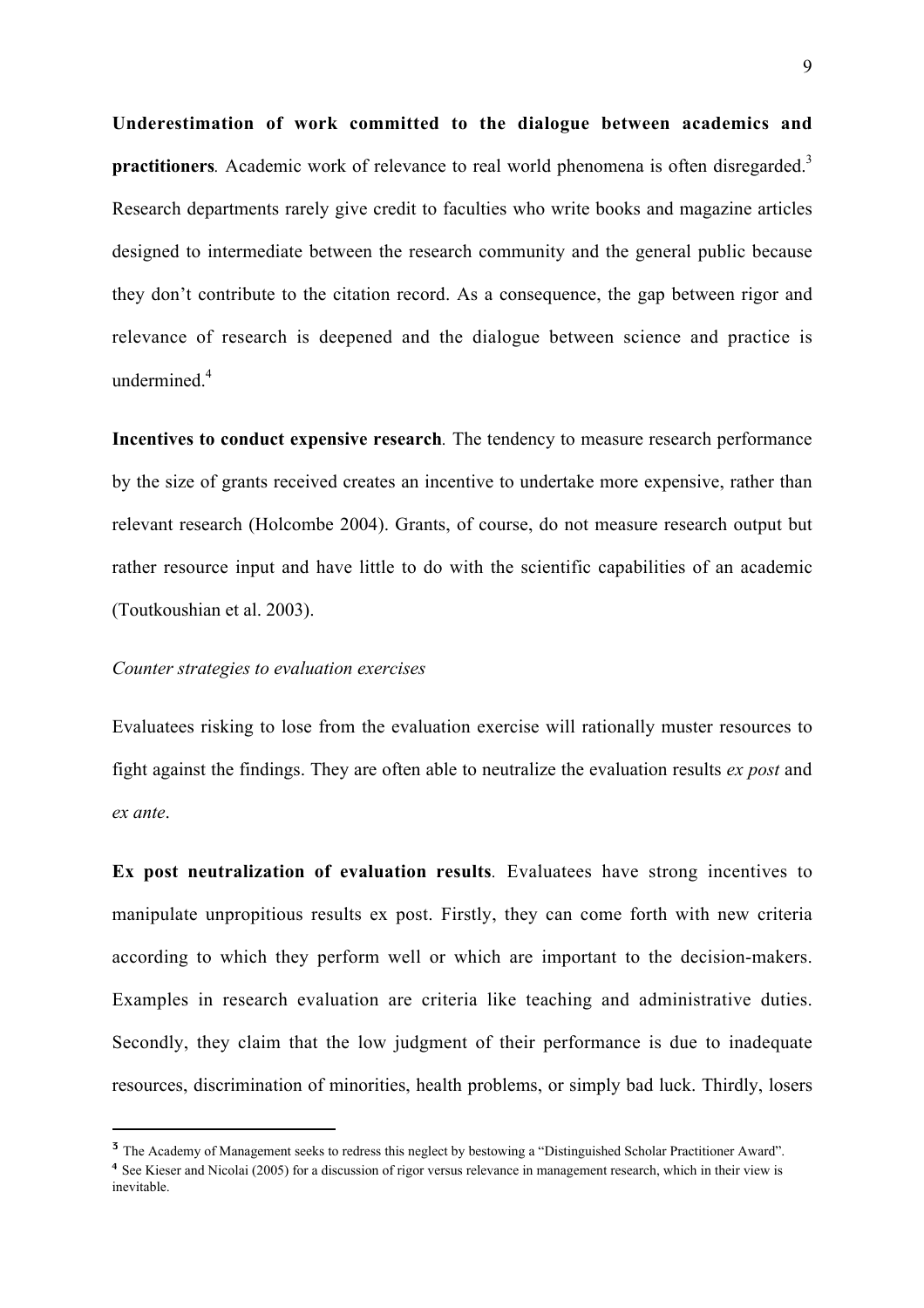Underestimation of work committed to the dialogue between academics and practitioners. Academic work of relevance to real world phenomena is often disregarded.<sup>3</sup> Research departments rarely give credit to faculties who write books and magazine articles designed to intermediate between the research community and the general public because they don't contribute to the citation record. As a consequence, the gap between rigor and relevance of research is deepened and the dialogue between science and practice is undermined $<sup>4</sup>$ </sup>

Incentives to conduct expensive research*.* The tendency to measure research performance by the size of grants received creates an incentive to undertake more expensive, rather than relevant research (Holcombe 2004). Grants, of course, do not measure research output but rather resource input and have little to do with the scientific capabilities of an academic (Toutkoushian et al. 2003).

#### *Counter strategies to evaluation exercises*

Evaluatees risking to lose from the evaluation exercise will rationally muster resources to fight against the findings. They are often able to neutralize the evaluation results *ex post* and *ex ante*.

Ex post neutralization of evaluation results*.* Evaluatees have strong incentives to manipulate unpropitious results ex post. Firstly, they can come forth with new criteria according to which they perform well or which are important to the decision-makers. Examples in research evaluation are criteria like teaching and administrative duties. Secondly, they claim that the low judgment of their performance is due to inadequate resources, discrimination of minorities, health problems, or simply bad luck. Thirdly, losers

<sup>&</sup>lt;sup>3</sup> The Academy of Management seeks to redress this neglect by bestowing a "Distinguished Scholar Practitioner Award".

<sup>&</sup>lt;sup>4</sup> See Kieser and Nicolai (2005) for a discussion of rigor versus relevance in management research, which in their view is inevitable.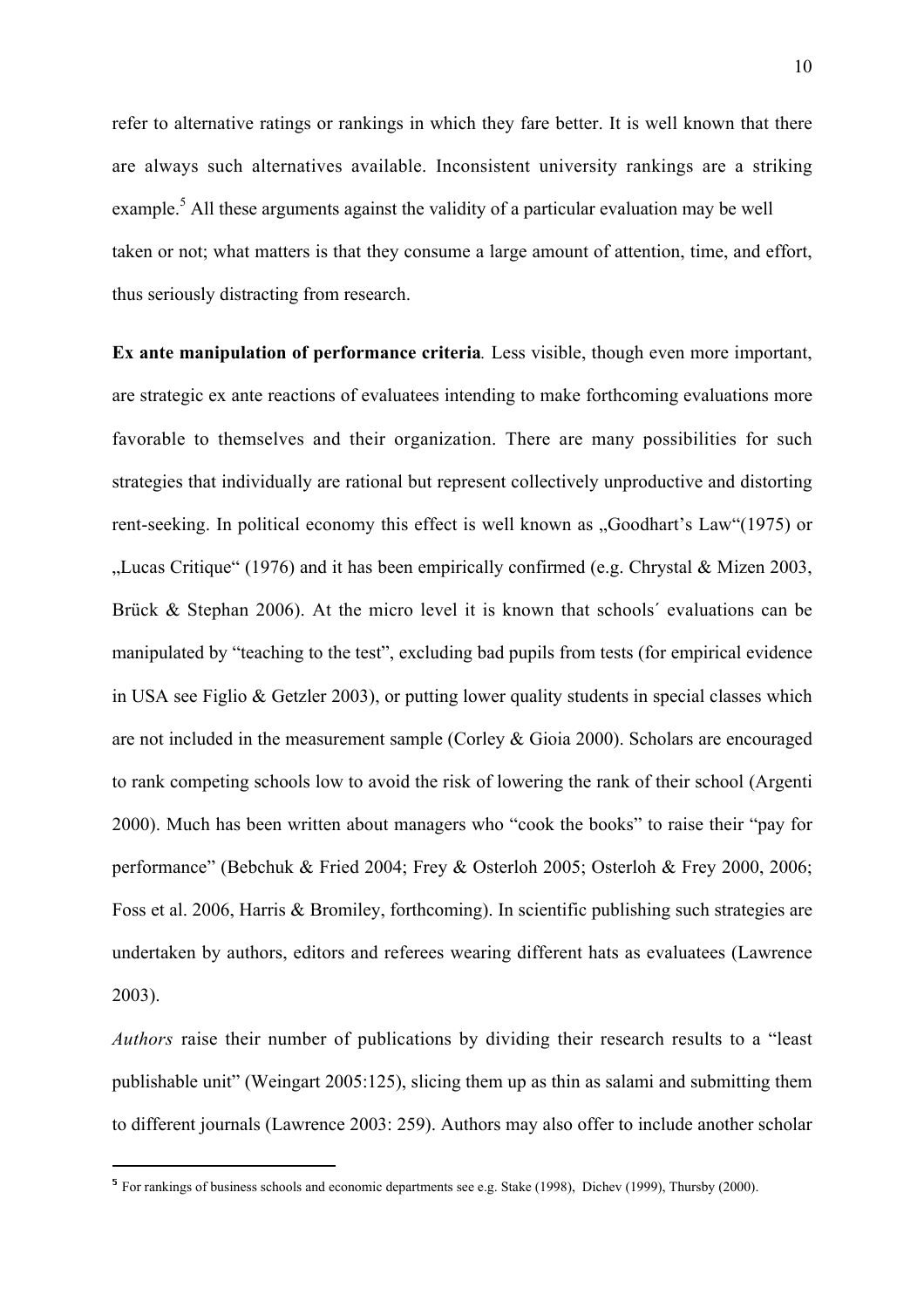refer to alternative ratings or rankings in which they fare better. It is well known that there are always such alternatives available. Inconsistent university rankings are a striking example.<sup>5</sup> All these arguments against the validity of a particular evaluation may be well taken or not; what matters is that they consume a large amount of attention, time, and effort, thus seriously distracting from research.

Ex ante manipulation of performance criteria*.* Less visible, though even more important, are strategic ex ante reactions of evaluatees intending to make forthcoming evaluations more favorable to themselves and their organization. There are many possibilities for such strategies that individually are rational but represent collectively unproductive and distorting rent-seeking. In political economy this effect is well known as "Goodhart's Law"(1975) or "Lucas Critique" (1976) and it has been empirically confirmed (e.g. Chrystal & Mizen 2003, Brück & Stephan 2006). At the micro level it is known that schools' evaluations can be manipulated by "teaching to the test", excluding bad pupils from tests (for empirical evidence in USA see Figlio & Getzler 2003), or putting lower quality students in special classes which are not included in the measurement sample (Corley & Gioia 2000). Scholars are encouraged to rank competing schools low to avoid the risk of lowering the rank of their school (Argenti 2000). Much has been written about managers who "cook the books" to raise their "pay for performance" (Bebchuk & Fried 2004; Frey & Osterloh 2005; Osterloh & Frey 2000, 2006; Foss et al. 2006, Harris & Bromiley, forthcoming). In scientific publishing such strategies are undertaken by authors, editors and referees wearing different hats as evaluatees (Lawrence 2003).

*Authors* raise their number of publications by dividing their research results to a "least publishable unit" (Weingart 2005:125), slicing them up as thin as salami and submitting them to different journals (Lawrence 2003: 259). Authors may also offer to include another scholar

 <sup>5</sup> For rankings of business schools and economic departments see e.g. Stake (1998), Dichev (1999), Thursby (2000).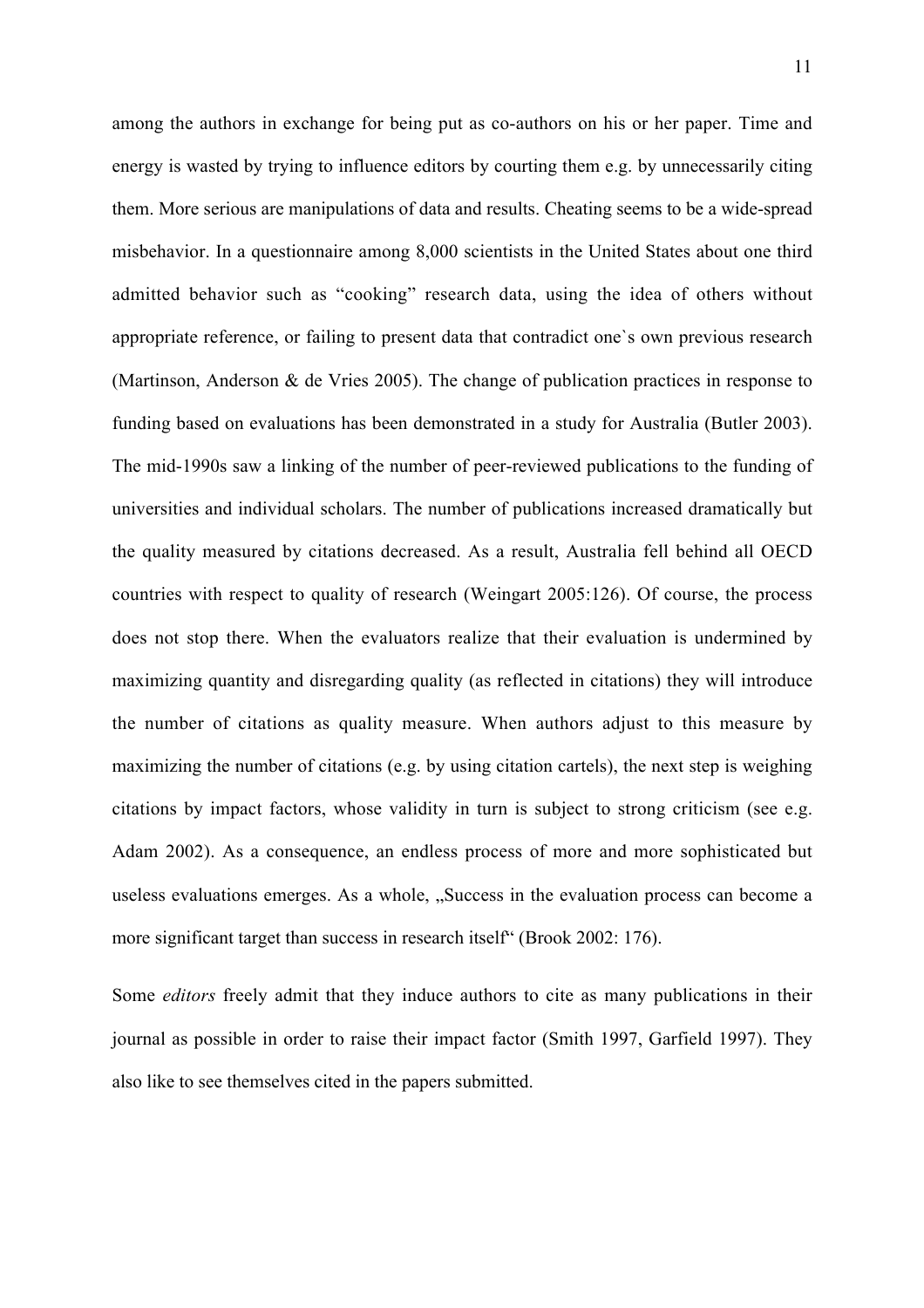among the authors in exchange for being put as co-authors on his or her paper. Time and energy is wasted by trying to influence editors by courting them e.g. by unnecessarily citing them. More serious are manipulations of data and results. Cheating seems to be a wide-spread misbehavior. In a questionnaire among 8,000 scientists in the United States about one third admitted behavior such as "cooking" research data, using the idea of others without appropriate reference, or failing to present data that contradict one`s own previous research (Martinson, Anderson & de Vries 2005). The change of publication practices in response to funding based on evaluations has been demonstrated in a study for Australia (Butler 2003). The mid-1990s saw a linking of the number of peer-reviewed publications to the funding of universities and individual scholars. The number of publications increased dramatically but the quality measured by citations decreased. As a result, Australia fell behind all OECD countries with respect to quality of research (Weingart 2005:126). Of course, the process does not stop there. When the evaluators realize that their evaluation is undermined by maximizing quantity and disregarding quality (as reflected in citations) they will introduce the number of citations as quality measure. When authors adjust to this measure by maximizing the number of citations (e.g. by using citation cartels), the next step is weighing citations by impact factors, whose validity in turn is subject to strong criticism (see e.g. Adam 2002). As a consequence, an endless process of more and more sophisticated but useless evaluations emerges. As a whole, "Success in the evaluation process can become a more significant target than success in research itself<sup>\*</sup> (Brook 2002: 176).

Some *editors* freely admit that they induce authors to cite as many publications in their journal as possible in order to raise their impact factor (Smith 1997, Garfield 1997). They also like to see themselves cited in the papers submitted.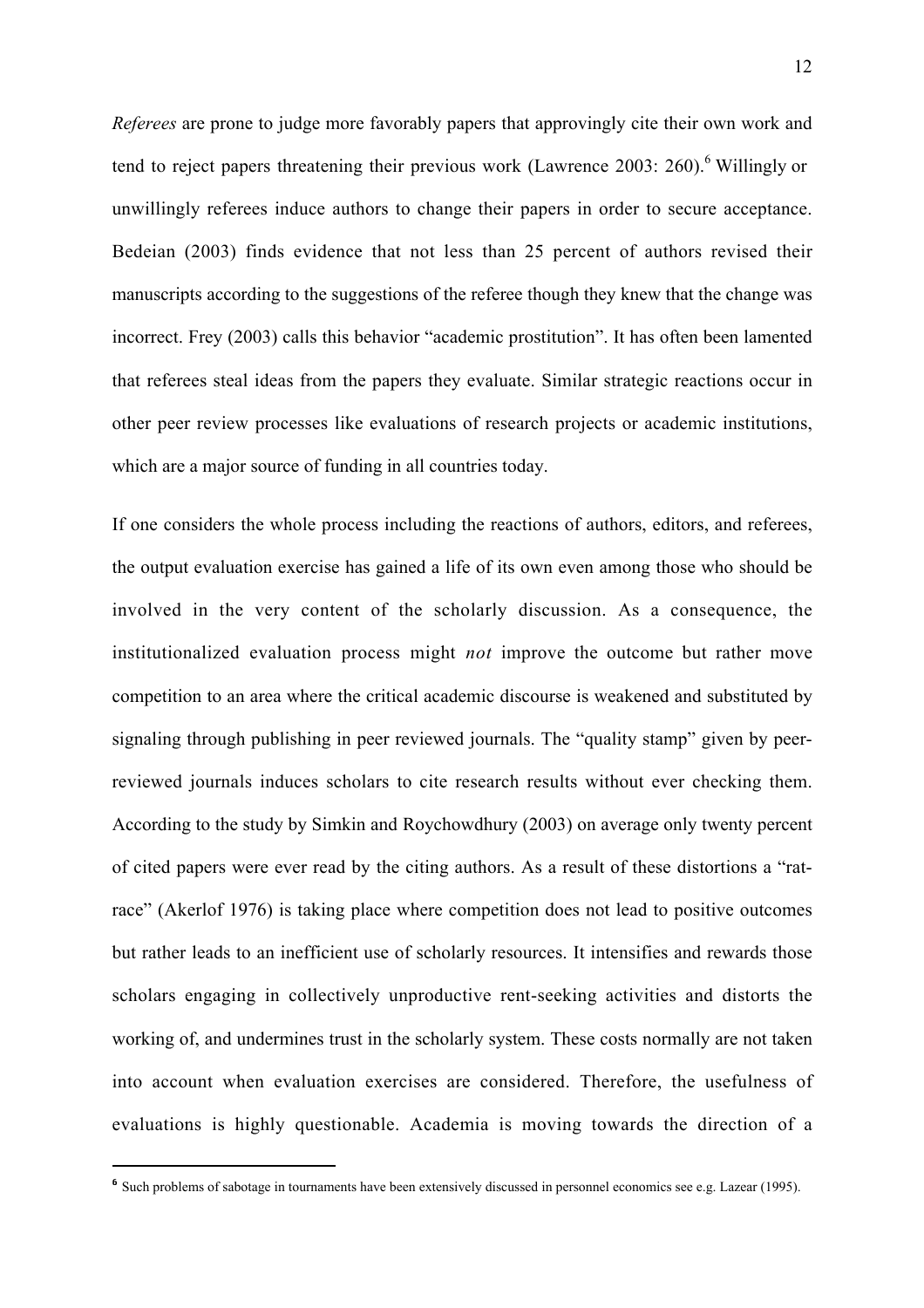*Referees* are prone to judge more favorably papers that approvingly cite their own work and tend to reject papers threatening their previous work (Lawrence 2003: 260).<sup>6</sup> Willingly or unwillingly referees induce authors to change their papers in order to secure acceptance. Bedeian (2003) finds evidence that not less than 25 percent of authors revised their manuscripts according to the suggestions of the referee though they knew that the change was incorrect. Frey (2003) calls this behavior "academic prostitution". It has often been lamented that referees steal ideas from the papers they evaluate. Similar strategic reactions occur in other peer review processes like evaluations of research projects or academic institutions, which are a major source of funding in all countries today.

If one considers the whole process including the reactions of authors, editors, and referees, the output evaluation exercise has gained a life of its own even among those who should be involved in the very content of the scholarly discussion. As a consequence, the institutionalized evaluation process might *not* improve the outcome but rather move competition to an area where the critical academic discourse is weakened and substituted by signaling through publishing in peer reviewed journals. The "quality stamp" given by peerreviewed journals induces scholars to cite research results without ever checking them. According to the study by Simkin and Roychowdhury (2003) on average only twenty percent of cited papers were ever read by the citing authors. As a result of these distortions a "ratrace" (Akerlof 1976) is taking place where competition does not lead to positive outcomes but rather leads to an inefficient use of scholarly resources. It intensifies and rewards those scholars engaging in collectively unproductive rent-seeking activities and distorts the working of, and undermines trust in the scholarly system. These costs normally are not taken into account when evaluation exercises are considered. Therefore, the usefulness of evaluations is highly questionable. Academia is moving towards the direction of a

 <sup>6</sup> Such problems of sabotage in tournaments have been extensively discussed in personnel economics see e.g. Lazear (1995).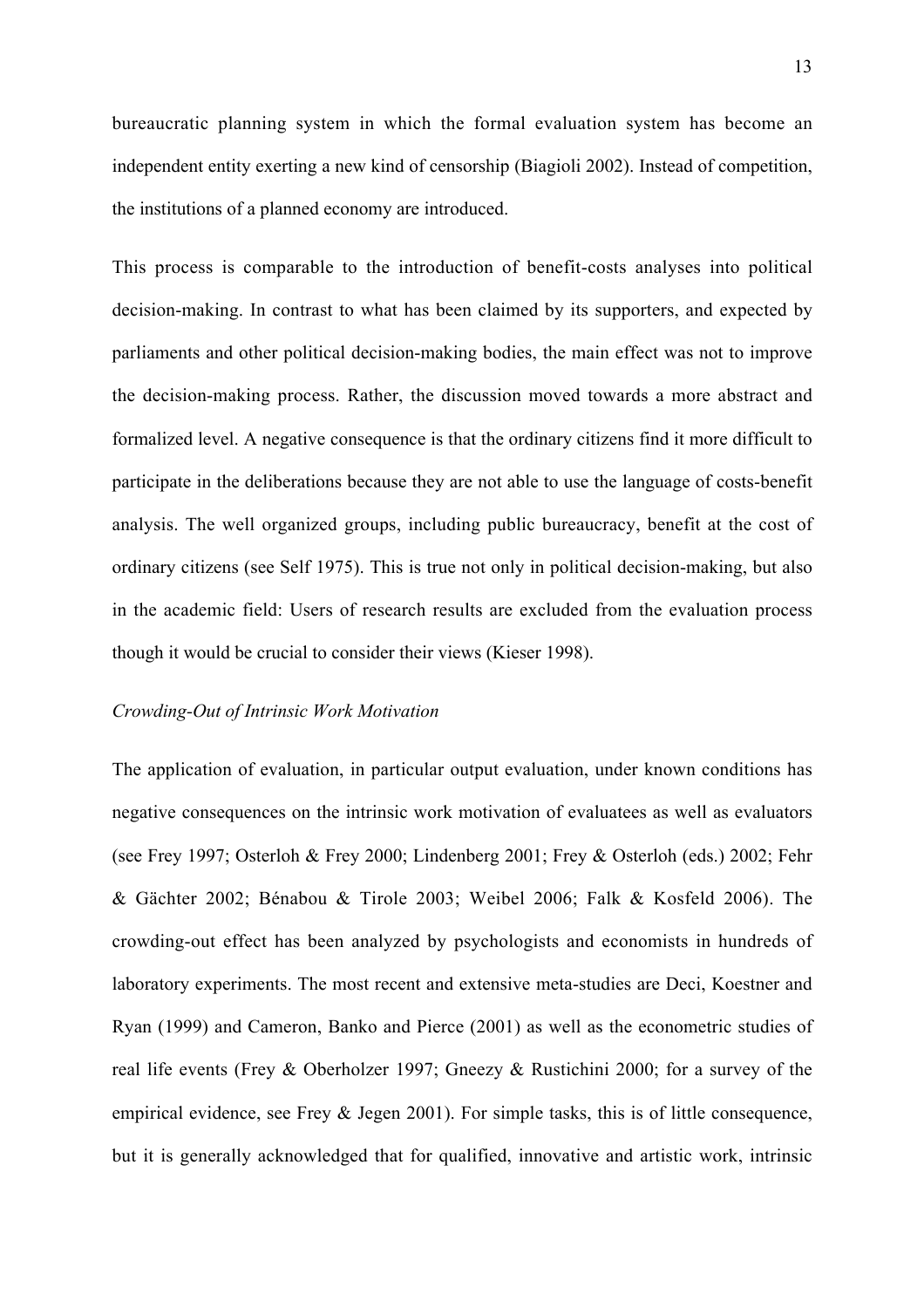bureaucratic planning system in which the formal evaluation system has become an independent entity exerting a new kind of censorship (Biagioli 2002). Instead of competition, the institutions of a planned economy are introduced.

This process is comparable to the introduction of benefit-costs analyses into political decision-making. In contrast to what has been claimed by its supporters, and expected by parliaments and other political decision-making bodies, the main effect was not to improve the decision-making process. Rather, the discussion moved towards a more abstract and formalized level. A negative consequence is that the ordinary citizens find it more difficult to participate in the deliberations because they are not able to use the language of costs-benefit analysis. The well organized groups, including public bureaucracy, benefit at the cost of ordinary citizens (see Self 1975). This is true not only in political decision-making, but also in the academic field: Users of research results are excluded from the evaluation process though it would be crucial to consider their views (Kieser 1998).

#### *Crowding-Out of Intrinsic Work Motivation*

The application of evaluation, in particular output evaluation, under known conditions has negative consequences on the intrinsic work motivation of evaluatees as well as evaluators (see Frey 1997; Osterloh & Frey 2000; Lindenberg 2001; Frey & Osterloh (eds.) 2002; Fehr & Gächter 2002; Bénabou & Tirole 2003; Weibel 2006; Falk & Kosfeld 2006). The crowding-out effect has been analyzed by psychologists and economists in hundreds of laboratory experiments. The most recent and extensive meta-studies are Deci, Koestner and Ryan (1999) and Cameron, Banko and Pierce (2001) as well as the econometric studies of real life events (Frey & Oberholzer 1997; Gneezy & Rustichini 2000; for a survey of the empirical evidence, see Frey & Jegen 2001). For simple tasks, this is of little consequence, but it is generally acknowledged that for qualified, innovative and artistic work, intrinsic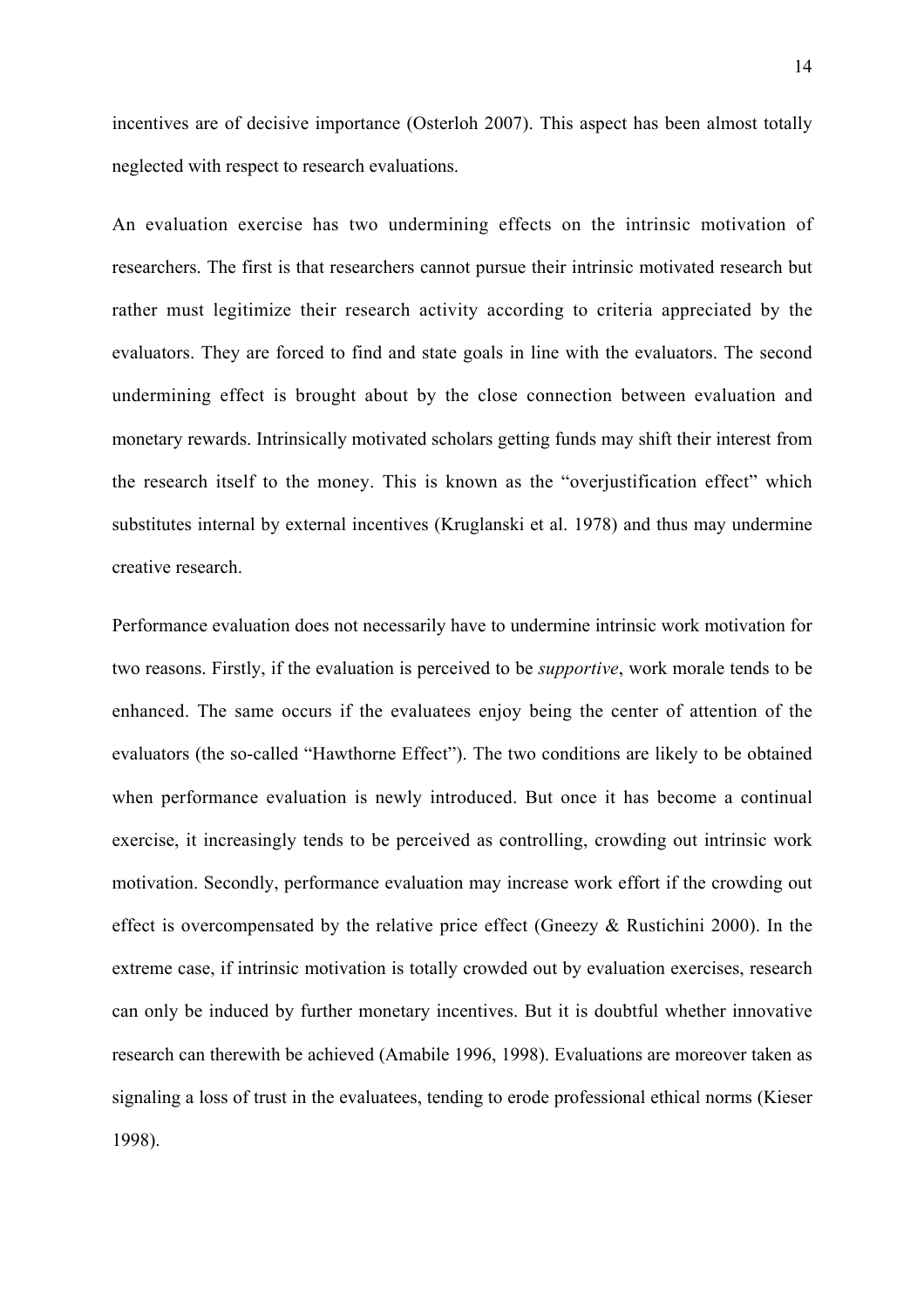incentives are of decisive importance (Osterloh 2007). This aspect has been almost totally neglected with respect to research evaluations.

An evaluation exercise has two undermining effects on the intrinsic motivation of researchers. The first is that researchers cannot pursue their intrinsic motivated research but rather must legitimize their research activity according to criteria appreciated by the evaluators. They are forced to find and state goals in line with the evaluators. The second undermining effect is brought about by the close connection between evaluation and monetary rewards. Intrinsically motivated scholars getting funds may shift their interest from the research itself to the money. This is known as the "overjustification effect" which substitutes internal by external incentives (Kruglanski et al. 1978) and thus may undermine creative research.

Performance evaluation does not necessarily have to undermine intrinsic work motivation for two reasons. Firstly, if the evaluation is perceived to be *supportive*, work morale tends to be enhanced. The same occurs if the evaluatees enjoy being the center of attention of the evaluators (the so-called "Hawthorne Effect"). The two conditions are likely to be obtained when performance evaluation is newly introduced. But once it has become a continual exercise, it increasingly tends to be perceived as controlling, crowding out intrinsic work motivation. Secondly, performance evaluation may increase work effort if the crowding out effect is overcompensated by the relative price effect (Gneezy & Rustichini 2000). In the extreme case, if intrinsic motivation is totally crowded out by evaluation exercises, research can only be induced by further monetary incentives. But it is doubtful whether innovative research can therewith be achieved (Amabile 1996, 1998). Evaluations are moreover taken as signaling a loss of trust in the evaluatees, tending to erode professional ethical norms (Kieser 1998).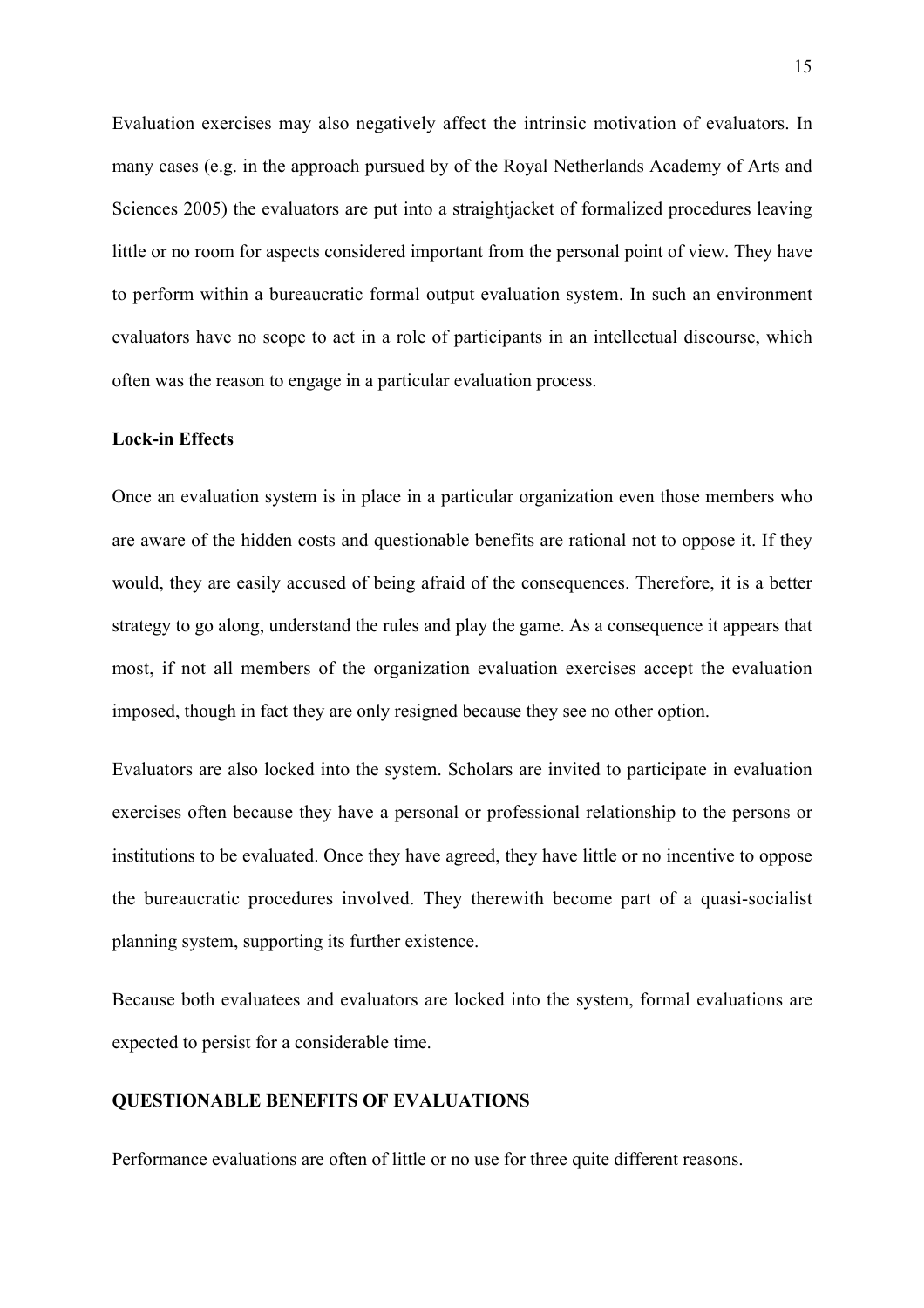Evaluation exercises may also negatively affect the intrinsic motivation of evaluators. In many cases (e.g. in the approach pursued by of the Royal Netherlands Academy of Arts and Sciences 2005) the evaluators are put into a straightjacket of formalized procedures leaving little or no room for aspects considered important from the personal point of view. They have to perform within a bureaucratic formal output evaluation system. In such an environment evaluators have no scope to act in a role of participants in an intellectual discourse, which often was the reason to engage in a particular evaluation process.

## Lock-in Effects

Once an evaluation system is in place in a particular organization even those members who are aware of the hidden costs and questionable benefits are rational not to oppose it. If they would, they are easily accused of being afraid of the consequences. Therefore, it is a better strategy to go along, understand the rules and play the game. As a consequence it appears that most, if not all members of the organization evaluation exercises accept the evaluation imposed, though in fact they are only resigned because they see no other option.

Evaluators are also locked into the system. Scholars are invited to participate in evaluation exercises often because they have a personal or professional relationship to the persons or institutions to be evaluated. Once they have agreed, they have little or no incentive to oppose the bureaucratic procedures involved. They therewith become part of a quasi-socialist planning system, supporting its further existence.

Because both evaluatees and evaluators are locked into the system, formal evaluations are expected to persist for a considerable time.

## QUESTIONABLE BENEFITS OF EVALUATIONS

Performance evaluations are often of little or no use for three quite different reasons.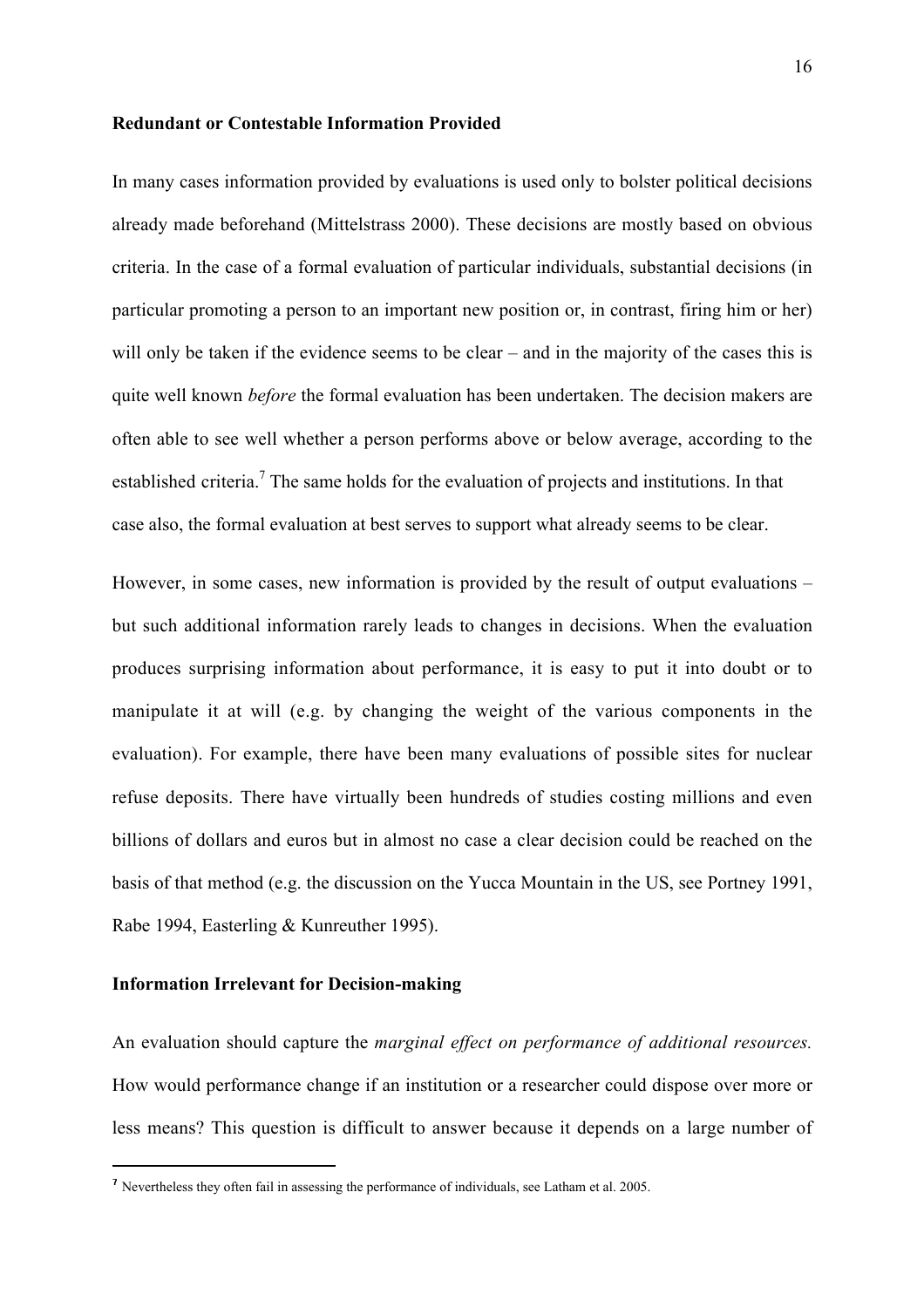#### Redundant or Contestable Information Provided

In many cases information provided by evaluations is used only to bolster political decisions already made beforehand (Mittelstrass 2000). These decisions are mostly based on obvious criteria. In the case of a formal evaluation of particular individuals, substantial decisions (in particular promoting a person to an important new position or, in contrast, firing him or her) will only be taken if the evidence seems to be clear – and in the majority of the cases this is quite well known *before* the formal evaluation has been undertaken. The decision makers are often able to see well whether a person performs above or below average, according to the established criteria.<sup>7</sup> The same holds for the evaluation of projects and institutions. In that case also, the formal evaluation at best serves to support what already seems to be clear.

However, in some cases, new information is provided by the result of output evaluations – but such additional information rarely leads to changes in decisions. When the evaluation produces surprising information about performance, it is easy to put it into doubt or to manipulate it at will (e.g. by changing the weight of the various components in the evaluation). For example, there have been many evaluations of possible sites for nuclear refuse deposits. There have virtually been hundreds of studies costing millions and even billions of dollars and euros but in almost no case a clear decision could be reached on the basis of that method (e.g. the discussion on the Yucca Mountain in the US, see Portney 1991, Rabe 1994, Easterling & Kunreuther 1995).

#### Information Irrelevant for Decision-making

An evaluation should capture the *marginal effect on performance of additional resources.* How would performance change if an institution or a researcher could dispose over more or less means? This question is difficult to answer because it depends on a large number of

 <sup>7</sup> Nevertheless they often fail in assessing the performance of individuals, see Latham et al. 2005.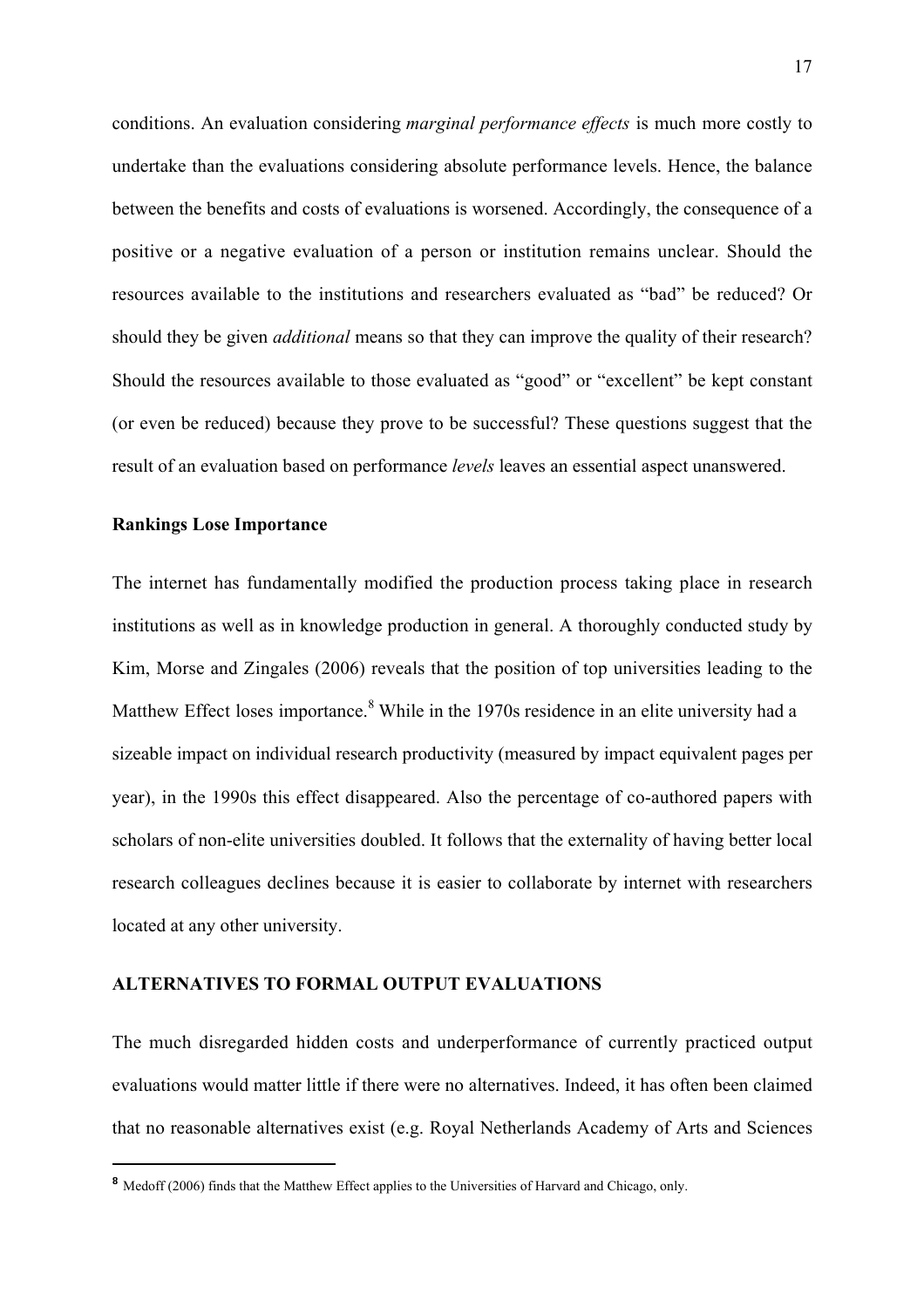conditions. An evaluation considering *marginal performance effects* is much more costly to undertake than the evaluations considering absolute performance levels. Hence, the balance between the benefits and costs of evaluations is worsened. Accordingly, the consequence of a positive or a negative evaluation of a person or institution remains unclear. Should the resources available to the institutions and researchers evaluated as "bad" be reduced? Or should they be given *additional* means so that they can improve the quality of their research? Should the resources available to those evaluated as "good" or "excellent" be kept constant (or even be reduced) because they prove to be successful? These questions suggest that the result of an evaluation based on performance *levels* leaves an essential aspect unanswered.

#### Rankings Lose Importance

The internet has fundamentally modified the production process taking place in research institutions as well as in knowledge production in general. A thoroughly conducted study by Kim, Morse and Zingales (2006) reveals that the position of top universities leading to the Matthew Effect loses importance.<sup>8</sup> While in the 1970s residence in an elite university had a sizeable impact on individual research productivity (measured by impact equivalent pages per year), in the 1990s this effect disappeared. Also the percentage of co-authored papers with scholars of non-elite universities doubled. It follows that the externality of having better local research colleagues declines because it is easier to collaborate by internet with researchers located at any other university.

## ALTERNATIVES TO FORMAL OUTPUT EVALUATIONS

The much disregarded hidden costs and underperformance of currently practiced output evaluations would matter little if there were no alternatives. Indeed, it has often been claimed that no reasonable alternatives exist (e.g. Royal Netherlands Academy of Arts and Sciences

<sup>&</sup>lt;sup>8</sup> Medoff (2006) finds that the Matthew Effect applies to the Universities of Harvard and Chicago, only.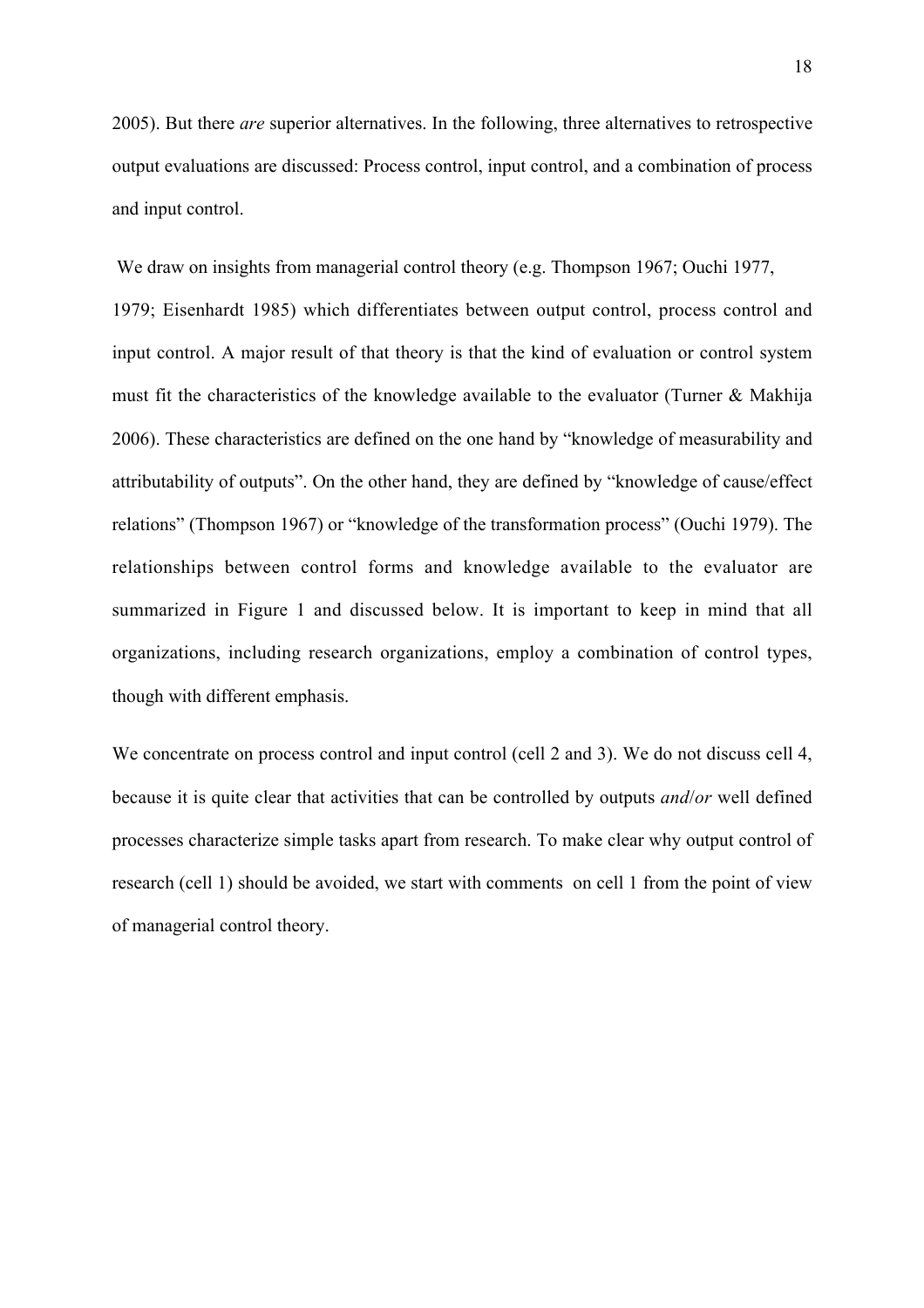2005). But there *are* superior alternatives. In the following, three alternatives to retrospective output evaluations are discussed: Process control, input control, and a combination of process and input control.

We draw on insights from managerial control theory (e.g. Thompson 1967; Ouchi 1977, 1979; Eisenhardt 1985) which differentiates between output control, process control and input control. A major result of that theory is that the kind of evaluation or control system must fit the characteristics of the knowledge available to the evaluator (Turner & Makhija 2006). These characteristics are defined on the one hand by "knowledge of measurability and attributability of outputs". On the other hand, they are defined by "knowledge of cause/effect relations" (Thompson 1967) or "knowledge of the transformation process" (Ouchi 1979). The relationships between control forms and knowledge available to the evaluator are summarized in Figure 1 and discussed below. It is important to keep in mind that all organizations, including research organizations, employ a combination of control types, though with different emphasis.

We concentrate on process control and input control (cell 2 and 3). We do not discuss cell 4, because it is quite clear that activities that can be controlled by outputs *and*/*or* well defined processes characterize simple tasks apart from research. To make clear why output control of research (cell 1) should be avoided, we start with comments on cell 1 from the point of view of managerial control theory.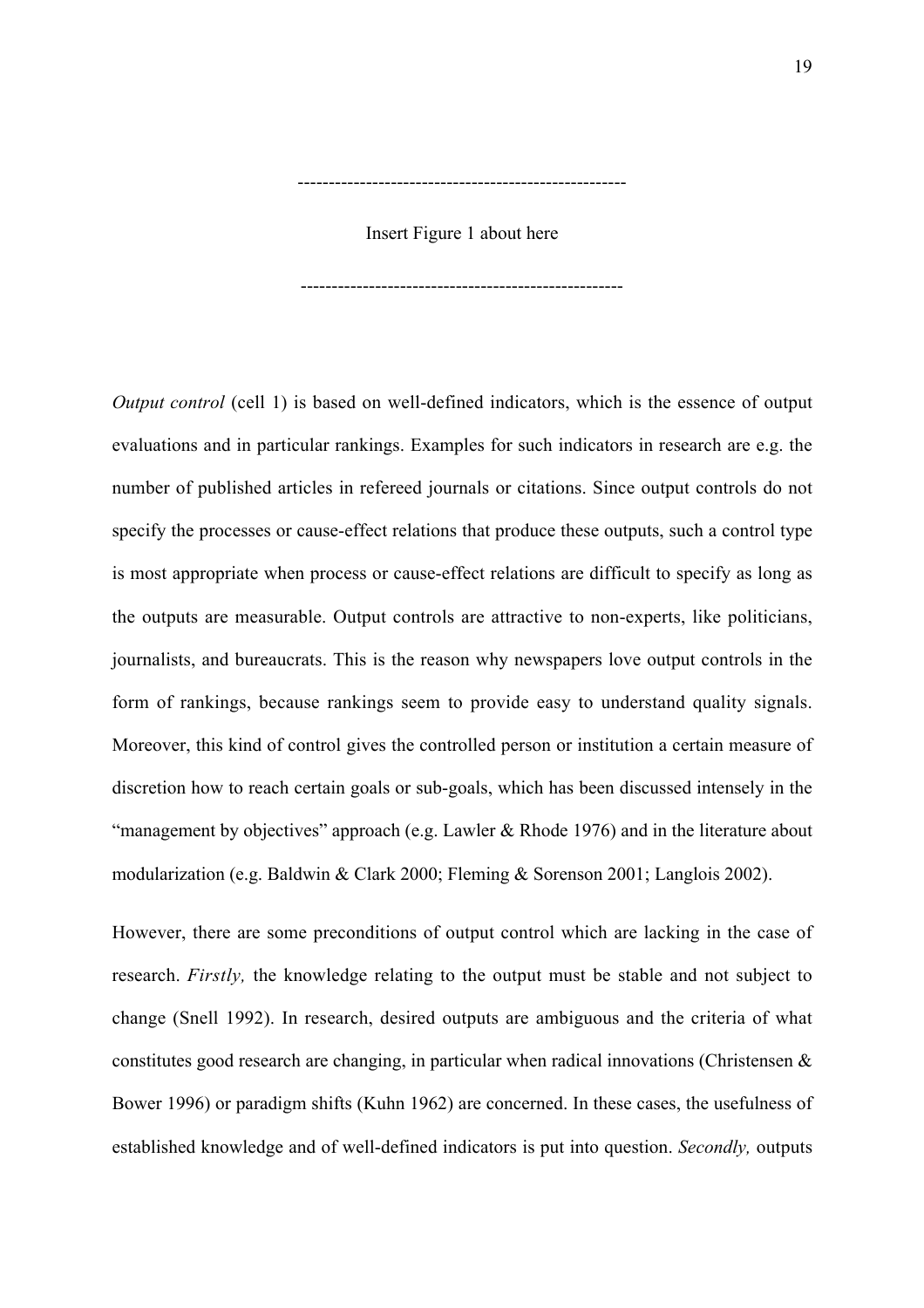## Insert Figure 1 about here

-----------------------------------------------------

----------------------------------------------------

*Output control* (cell 1) is based on well-defined indicators, which is the essence of output evaluations and in particular rankings. Examples for such indicators in research are e.g. the number of published articles in refereed journals or citations. Since output controls do not specify the processes or cause-effect relations that produce these outputs, such a control type is most appropriate when process or cause-effect relations are difficult to specify as long as the outputs are measurable. Output controls are attractive to non-experts, like politicians, journalists, and bureaucrats. This is the reason why newspapers love output controls in the form of rankings, because rankings seem to provide easy to understand quality signals. Moreover, this kind of control gives the controlled person or institution a certain measure of discretion how to reach certain goals or sub-goals, which has been discussed intensely in the "management by objectives" approach (e.g. Lawler & Rhode 1976) and in the literature about modularization (e.g. Baldwin & Clark 2000; Fleming & Sorenson 2001; Langlois 2002).

However, there are some preconditions of output control which are lacking in the case of research. *Firstly,* the knowledge relating to the output must be stable and not subject to change (Snell 1992). In research, desired outputs are ambiguous and the criteria of what constitutes good research are changing, in particular when radical innovations (Christensen & Bower 1996) or paradigm shifts (Kuhn 1962) are concerned. In these cases, the usefulness of established knowledge and of well-defined indicators is put into question. *Secondly,* outputs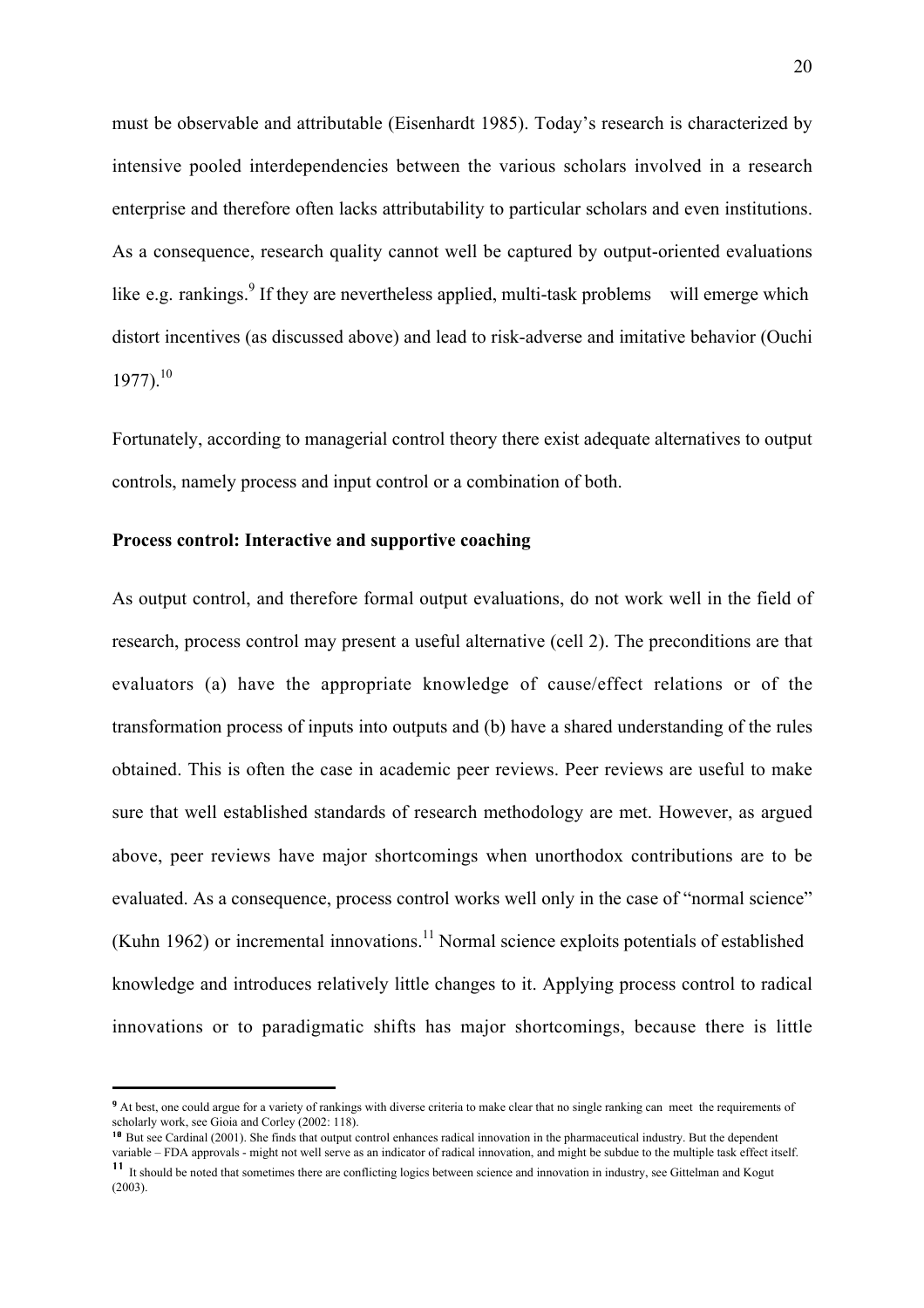must be observable and attributable (Eisenhardt 1985). Today's research is characterized by intensive pooled interdependencies between the various scholars involved in a research enterprise and therefore often lacks attributability to particular scholars and even institutions. As a consequence, research quality cannot well be captured by output-oriented evaluations like e.g. rankings.<sup>9</sup> If they are nevertheless applied, multi-task problems will emerge which distort incentives (as discussed above) and lead to risk-adverse and imitative behavior (Ouchi  $1977$ ).<sup>10</sup>

Fortunately, according to managerial control theory there exist adequate alternatives to output controls, namely process and input control or a combination of both.

#### Process control: Interactive and supportive coaching

As output control, and therefore formal output evaluations, do not work well in the field of research, process control may present a useful alternative (cell 2). The preconditions are that evaluators (a) have the appropriate knowledge of cause/effect relations or of the transformation process of inputs into outputs and (b) have a shared understanding of the rules obtained. This is often the case in academic peer reviews. Peer reviews are useful to make sure that well established standards of research methodology are met. However, as argued above, peer reviews have major shortcomings when unorthodox contributions are to be evaluated. As a consequence, process control works well only in the case of "normal science" (Kuhn 1962) or incremental innovations.<sup>11</sup> Normal science exploits potentials of established knowledge and introduces relatively little changes to it. Applying process control to radical innovations or to paradigmatic shifts has major shortcomings, because there is little

 <sup>9</sup> At best, one could argue for a variety of rankings with diverse criteria to make clear that no single ranking can meet the requirements of scholarly work, see Gioia and Corley (2002: 118).

<sup>&</sup>lt;sup>10</sup> But see Cardinal (2001). She finds that output control enhances radical innovation in the pharmaceutical industry. But the dependent variable – FDA approvals - might not well serve as an indicator of radical innovation, and might be subdue to the multiple task effect itself. <sup>11</sup> It should be noted that sometimes there are conflicting logics between science and innovation in industry, see Gittelman and Kogut (2003).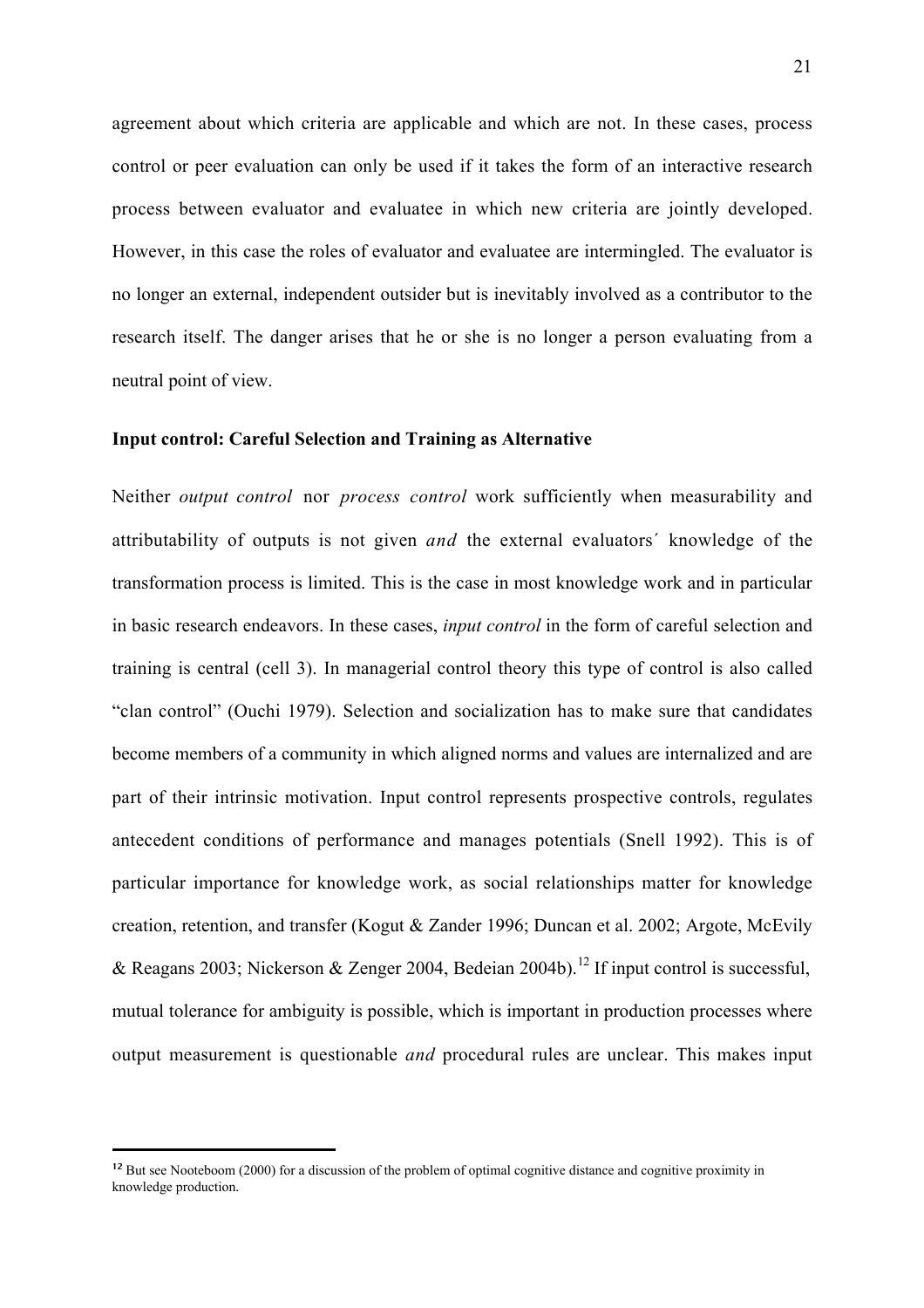agreement about which criteria are applicable and which are not. In these cases, process control or peer evaluation can only be used if it takes the form of an interactive research process between evaluator and evaluatee in which new criteria are jointly developed. However, in this case the roles of evaluator and evaluatee are intermingled. The evaluator is no longer an external, independent outsider but is inevitably involved as a contributor to the research itself. The danger arises that he or she is no longer a person evaluating from a neutral point of view.

## Input control: Careful Selection and Training as Alternative

Neither *output control* nor *process control* work sufficiently when measurability and attributability of outputs is not given *and* the external evaluators´ knowledge of the transformation process is limited. This is the case in most knowledge work and in particular in basic research endeavors. In these cases, *input control* in the form of careful selection and training is central (cell 3). In managerial control theory this type of control is also called "clan control" (Ouchi 1979). Selection and socialization has to make sure that candidates become members of a community in which aligned norms and values are internalized and are part of their intrinsic motivation. Input control represents prospective controls, regulates antecedent conditions of performance and manages potentials (Snell 1992). This is of particular importance for knowledge work, as social relationships matter for knowledge creation, retention, and transfer (Kogut & Zander 1996; Duncan et al. 2002; Argote, McEvily & Reagans 2003; Nickerson & Zenger 2004, Bedeian 2004b).<sup>12</sup> If input control is successful, mutual tolerance for ambiguity is possible, which is important in production processes where output measurement is questionable *and* procedural rules are unclear. This makes input

<sup>&</sup>lt;sup>12</sup> But see Nooteboom (2000) for a discussion of the problem of optimal cognitive distance and cognitive proximity in knowledge production.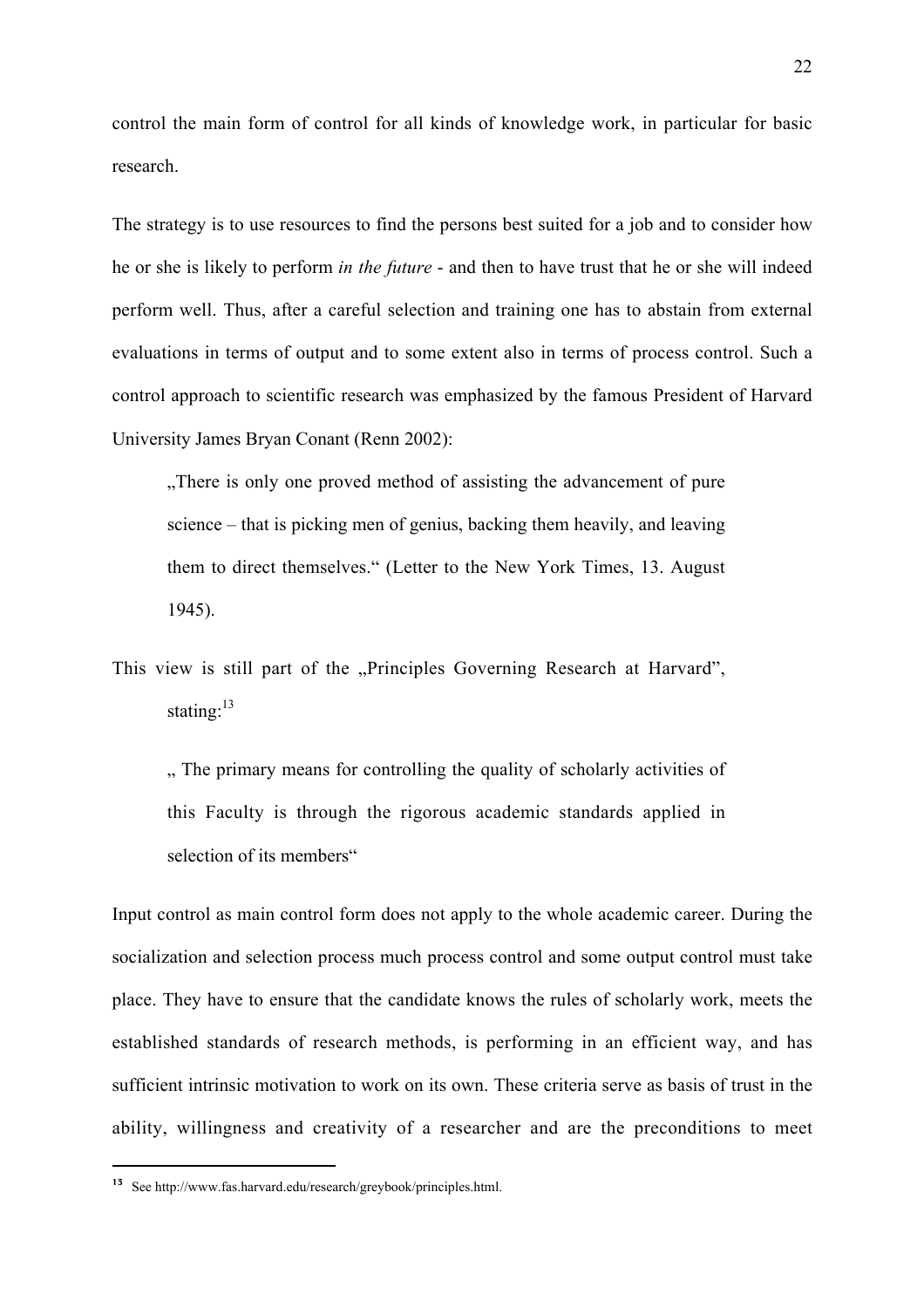control the main form of control for all kinds of knowledge work, in particular for basic research.

The strategy is to use resources to find the persons best suited for a job and to consider how he or she is likely to perform *in the future* - and then to have trust that he or she will indeed perform well. Thus, after a careful selection and training one has to abstain from external evaluations in terms of output and to some extent also in terms of process control. Such a control approach to scientific research was emphasized by the famous President of Harvard University James Bryan Conant (Renn 2002):

"There is only one proved method of assisting the advancement of pure" science – that is picking men of genius, backing them heavily, and leaving them to direct themselves." (Letter to the New York Times, 13. August 1945).

This view is still part of the "Principles Governing Research at Harvard", stating: $13$ 

", The primary means for controlling the quality of scholarly activities of this Faculty is through the rigorous academic standards applied in selection of its members"

Input control as main control form does not apply to the whole academic career. During the socialization and selection process much process control and some output control must take place. They have to ensure that the candidate knows the rules of scholarly work, meets the established standards of research methods, is performing in an efficient way, and has sufficient intrinsic motivation to work on its own. These criteria serve as basis of trust in the ability, willingness and creativity of a researcher and are the preconditions to meet

 <sup>13</sup> See http://www.fas.harvard.edu/research/greybook/principles.html.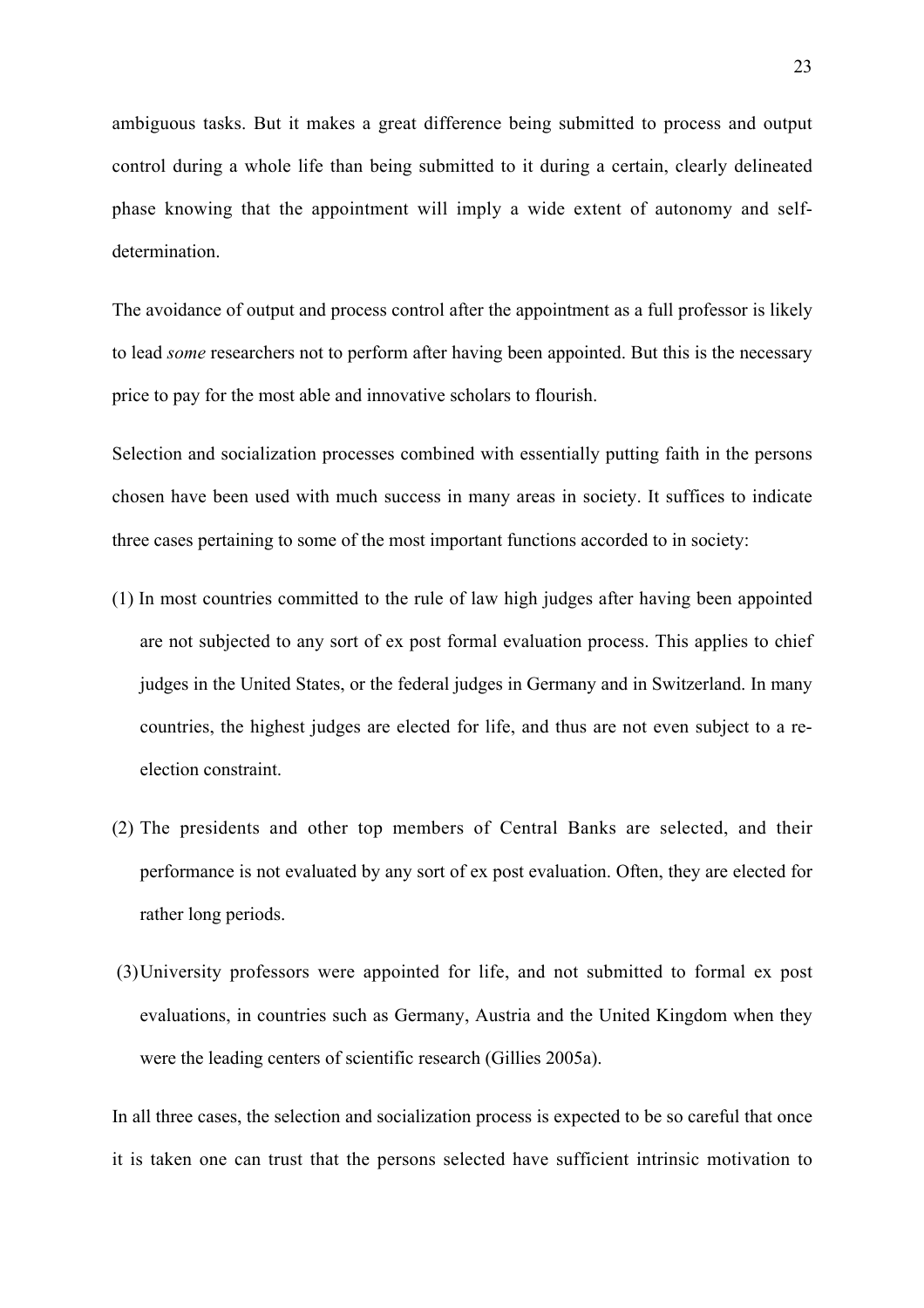ambiguous tasks. But it makes a great difference being submitted to process and output control during a whole life than being submitted to it during a certain, clearly delineated phase knowing that the appointment will imply a wide extent of autonomy and selfdetermination.

The avoidance of output and process control after the appointment as a full professor is likely to lead *some* researchers not to perform after having been appointed. But this is the necessary price to pay for the most able and innovative scholars to flourish.

Selection and socialization processes combined with essentially putting faith in the persons chosen have been used with much success in many areas in society. It suffices to indicate three cases pertaining to some of the most important functions accorded to in society:

- (1) In most countries committed to the rule of law high judges after having been appointed are not subjected to any sort of ex post formal evaluation process. This applies to chief judges in the United States, or the federal judges in Germany and in Switzerland. In many countries, the highest judges are elected for life, and thus are not even subject to a reelection constraint.
- (2) The presidents and other top members of Central Banks are selected, and their performance is not evaluated by any sort of ex post evaluation. Often, they are elected for rather long periods.
- (3)University professors were appointed for life, and not submitted to formal ex post evaluations, in countries such as Germany, Austria and the United Kingdom when they were the leading centers of scientific research (Gillies 2005a).

In all three cases, the selection and socialization process is expected to be so careful that once it is taken one can trust that the persons selected have sufficient intrinsic motivation to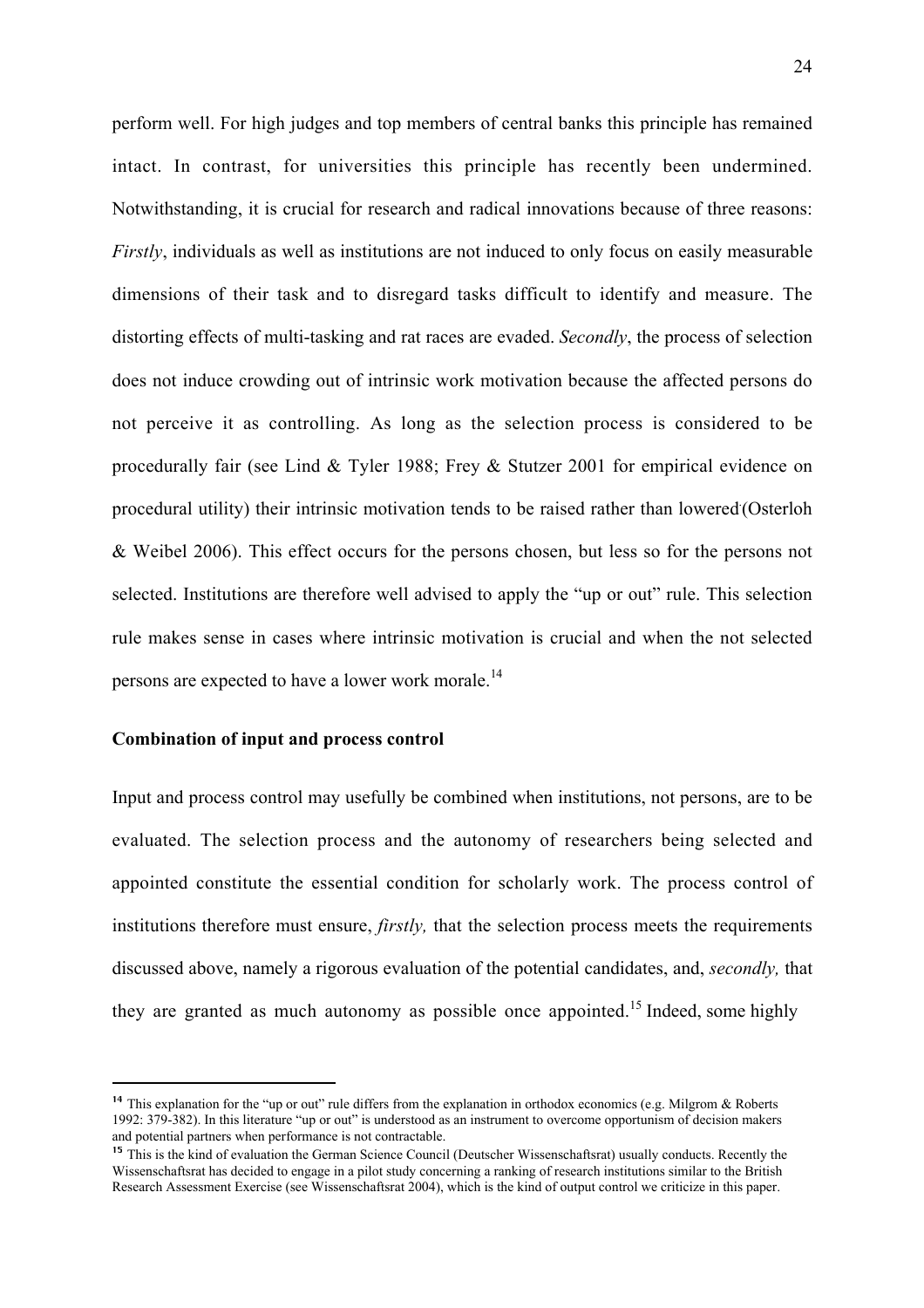perform well. For high judges and top members of central banks this principle has remained intact. In contrast, for universities this principle has recently been undermined. Notwithstanding, it is crucial for research and radical innovations because of three reasons: *Firstly*, individuals as well as institutions are not induced to only focus on easily measurable dimensions of their task and to disregard tasks difficult to identify and measure. The distorting effects of multi-tasking and rat races are evaded. *Secondly*, the process of selection does not induce crowding out of intrinsic work motivation because the affected persons do not perceive it as controlling. As long as the selection process is considered to be procedurally fair (see Lind & Tyler 1988; Frey & Stutzer 2001 for empirical evidence on procedural utility) their intrinsic motivation tends to be raised rather than lowered (Osterloh & Weibel 2006). This effect occurs for the persons chosen, but less so for the persons not selected. Institutions are therefore well advised to apply the "up or out" rule. This selection rule makes sense in cases where intrinsic motivation is crucial and when the not selected persons are expected to have a lower work morale.<sup>14</sup>

## Combination of input and process control

Input and process control may usefully be combined when institutions, not persons, are to be evaluated. The selection process and the autonomy of researchers being selected and appointed constitute the essential condition for scholarly work. The process control of institutions therefore must ensure, *firstly,* that the selection process meets the requirements discussed above, namely a rigorous evaluation of the potential candidates, and, *secondly,* that they are granted as much autonomy as possible once appointed.<sup>15</sup> Indeed, some highly

<sup>&</sup>lt;sup>14</sup> This explanation for the "up or out" rule differs from the explanation in orthodox economics (e.g. Milgrom & Roberts 1992: 379-382). In this literature "up or out" is understood as an instrument to overcome opportunism of decision makers and potential partners when performance is not contractable.

<sup>&</sup>lt;sup>15</sup> This is the kind of evaluation the German Science Council (Deutscher Wissenschaftsrat) usually conducts. Recently the Wissenschaftsrat has decided to engage in a pilot study concerning a ranking of research institutions similar to the British Research Assessment Exercise (see Wissenschaftsrat 2004), which is the kind of output control we criticize in this paper.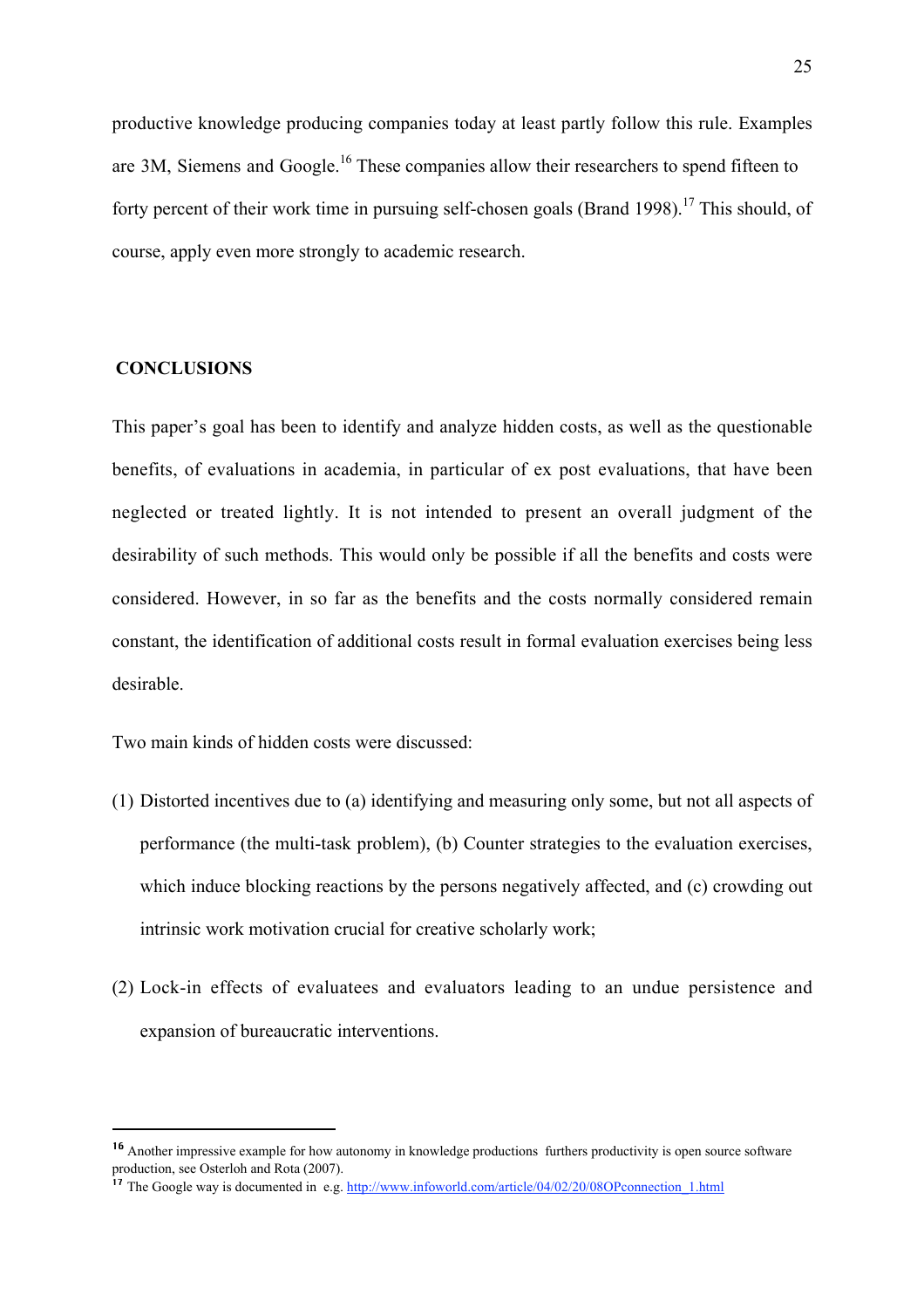productive knowledge producing companies today at least partly follow this rule. Examples are 3M, Siemens and Google.<sup>16</sup> These companies allow their researchers to spend fifteen to forty percent of their work time in pursuing self-chosen goals (Brand 1998).<sup>17</sup> This should, of course, apply even more strongly to academic research.

## **CONCLUSIONS**

This paper's goal has been to identify and analyze hidden costs, as well as the questionable benefits, of evaluations in academia, in particular of ex post evaluations, that have been neglected or treated lightly. It is not intended to present an overall judgment of the desirability of such methods. This would only be possible if all the benefits and costs were considered. However, in so far as the benefits and the costs normally considered remain constant, the identification of additional costs result in formal evaluation exercises being less desirable.

Two main kinds of hidden costs were discussed:

- (1) Distorted incentives due to (a) identifying and measuring only some, but not all aspects of performance (the multi-task problem), (b) Counter strategies to the evaluation exercises, which induce blocking reactions by the persons negatively affected, and (c) crowding out intrinsic work motivation crucial for creative scholarly work;
- (2) Lock-in effects of evaluatees and evaluators leading to an undue persistence and expansion of bureaucratic interventions.

<sup>&</sup>lt;sup>16</sup> Another impressive example for how autonomy in knowledge productions furthers productivity is open source software production, see Osterloh and Rota (2007).

<sup>&</sup>lt;sup>17</sup> The Google way is documented in e.g. http://www.infoworld.com/article/04/02/20/08OPconnection 1.html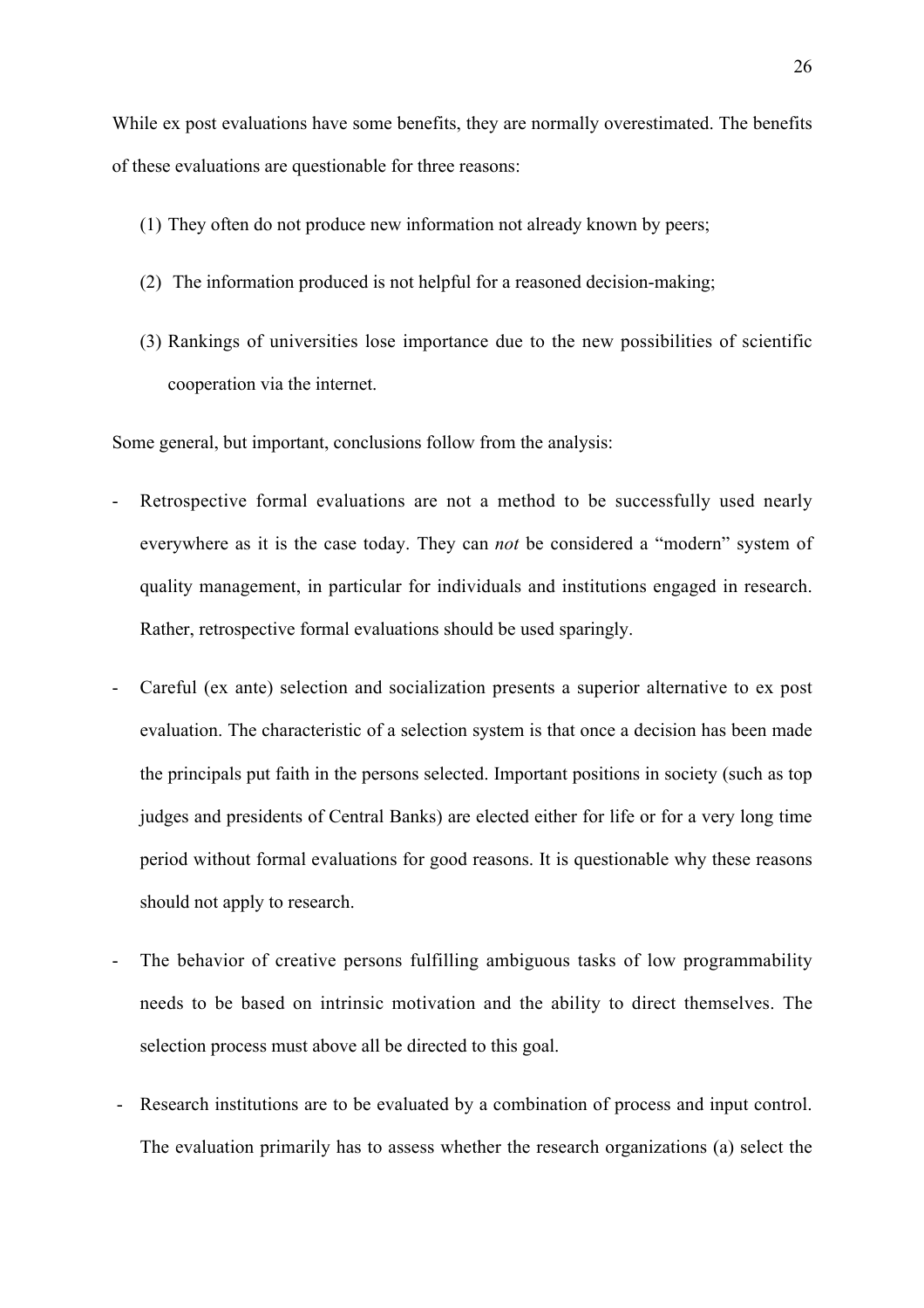While ex post evaluations have some benefits, they are normally overestimated. The benefits of these evaluations are questionable for three reasons:

- (1) They often do not produce new information not already known by peers;
- (2) The information produced is not helpful for a reasoned decision-making;
- (3) Rankings of universities lose importance due to the new possibilities of scientific cooperation via the internet.

Some general, but important, conclusions follow from the analysis:

- Retrospective formal evaluations are not a method to be successfully used nearly everywhere as it is the case today. They can *not* be considered a "modern" system of quality management, in particular for individuals and institutions engaged in research. Rather, retrospective formal evaluations should be used sparingly.
- Careful (ex ante) selection and socialization presents a superior alternative to ex post evaluation. The characteristic of a selection system is that once a decision has been made the principals put faith in the persons selected. Important positions in society (such as top judges and presidents of Central Banks) are elected either for life or for a very long time period without formal evaluations for good reasons. It is questionable why these reasons should not apply to research.
- The behavior of creative persons fulfilling ambiguous tasks of low programmability needs to be based on intrinsic motivation and the ability to direct themselves. The selection process must above all be directed to this goal.
- Research institutions are to be evaluated by a combination of process and input control. The evaluation primarily has to assess whether the research organizations (a) select the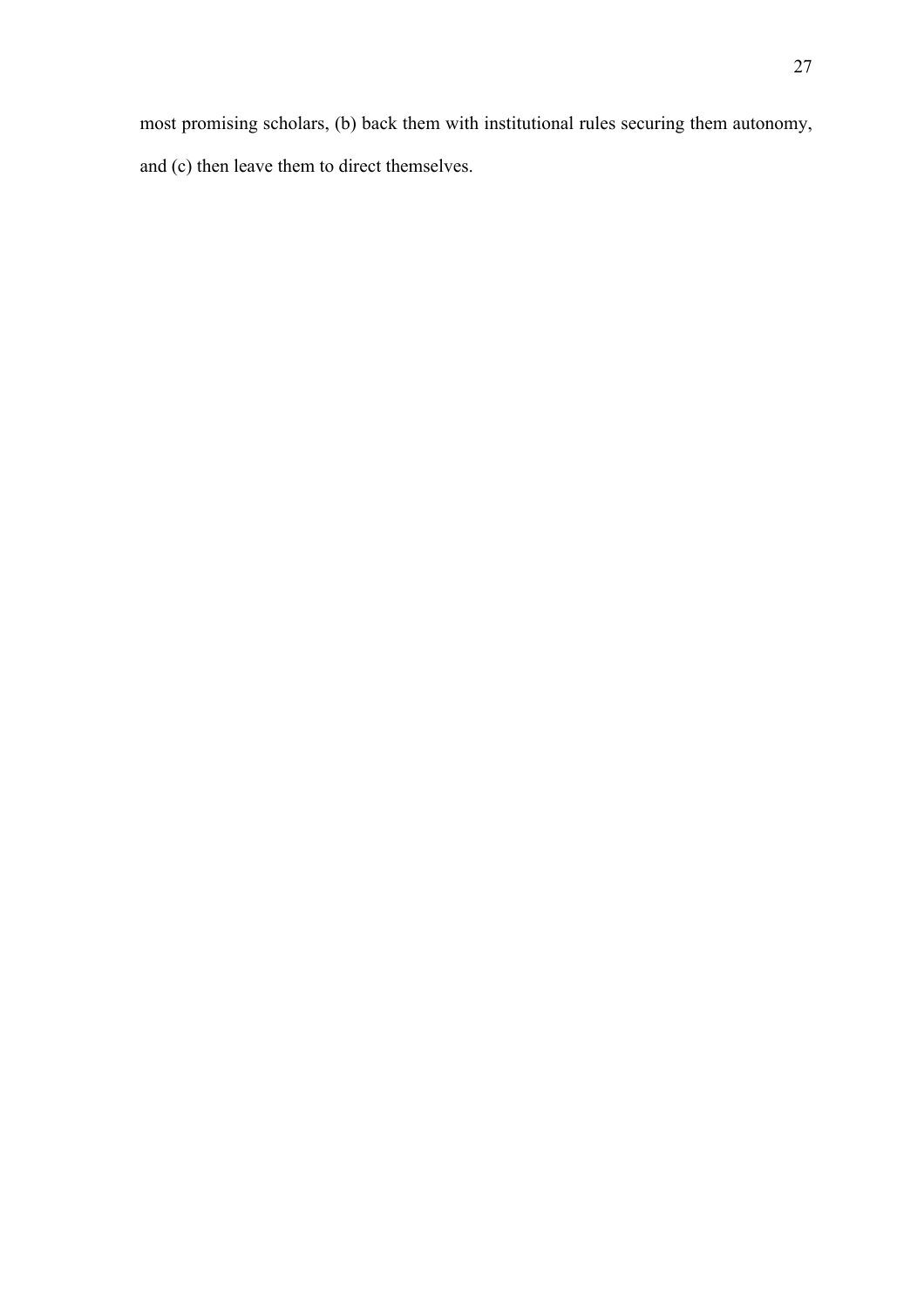most promising scholars, (b) back them with institutional rules securing them autonomy, and (c) then leave them to direct themselves.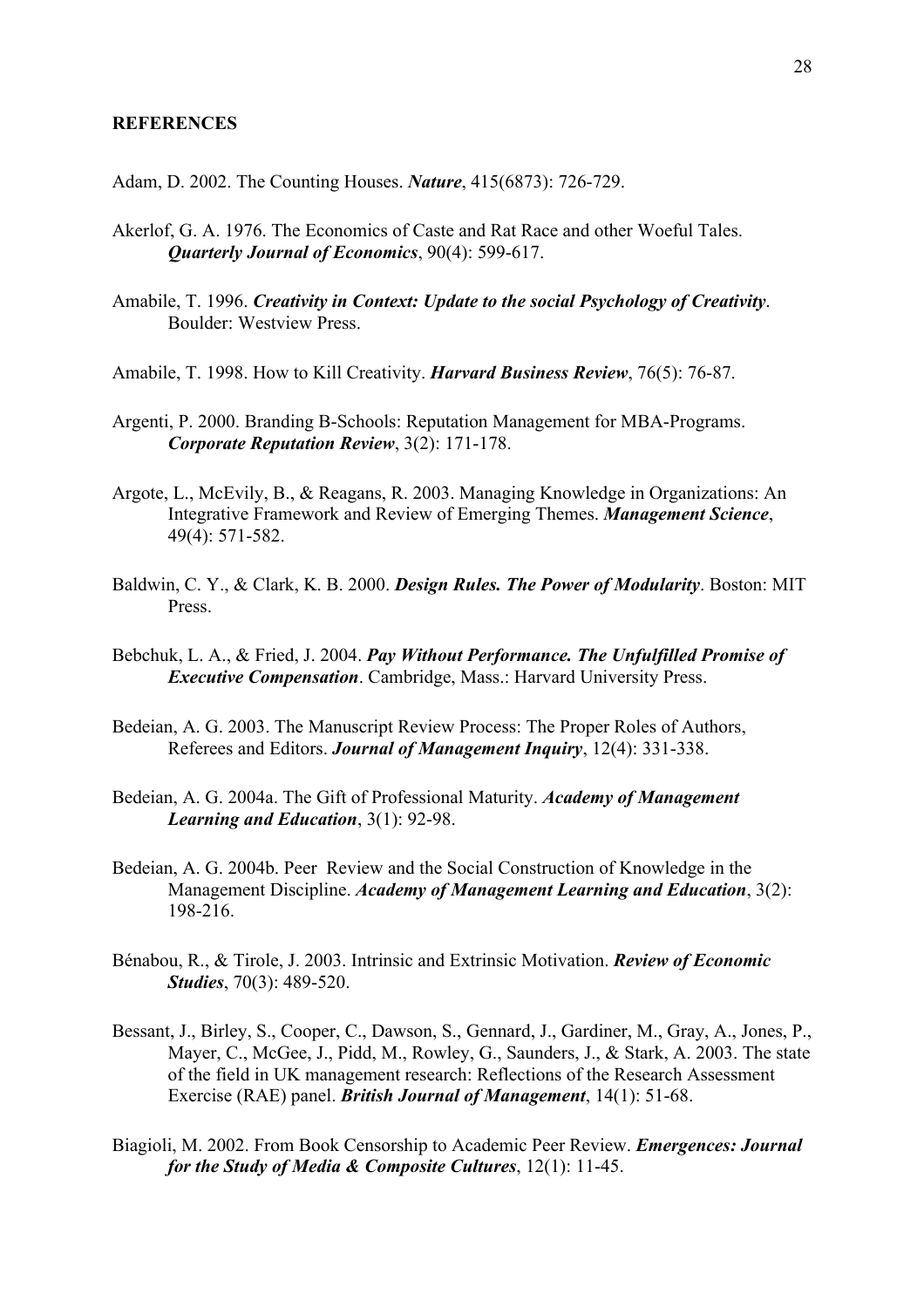## **REFERENCES**

Adam, D. 2002. The Counting Houses. *Nature*, 415(6873): 726-729.

- Akerlof, G. A. 1976. The Economics of Caste and Rat Race and other Woeful Tales. *Quarterly Journal of Economics*, 90(4): 599-617.
- Amabile, T. 1996. *Creativity in Context: Update to the social Psychology of Creativity*. Boulder: Westview Press.
- Amabile, T. 1998. How to Kill Creativity. *Harvard Business Review*, 76(5): 76-87.
- Argenti, P. 2000. Branding B-Schools: Reputation Management for MBA-Programs. *Corporate Reputation Review*, 3(2): 171-178.
- Argote, L., McEvily, B., & Reagans, R. 2003. Managing Knowledge in Organizations: An Integrative Framework and Review of Emerging Themes. *Management Science*, 49(4): 571-582.
- Baldwin, C. Y., & Clark, K. B. 2000. *Design Rules. The Power of Modularity*. Boston: MIT Press.
- Bebchuk, L. A., & Fried, J. 2004. *Pay Without Performance. The Unfulfilled Promise of Executive Compensation*. Cambridge, Mass.: Harvard University Press.
- Bedeian, A. G. 2003. The Manuscript Review Process: The Proper Roles of Authors, Referees and Editors. *Journal of Management Inquiry*, 12(4): 331-338.
- Bedeian, A. G. 2004a. The Gift of Professional Maturity. *Academy of Management Learning and Education*, 3(1): 92-98.
- Bedeian, A. G. 2004b. Peer Review and the Social Construction of Knowledge in the Management Discipline. *Academy of Management Learning and Education*, 3(2): 198-216.
- Bénabou, R., & Tirole, J. 2003. Intrinsic and Extrinsic Motivation. *Review of Economic Studies*, 70(3): 489-520.
- Bessant, J., Birley, S., Cooper, C., Dawson, S., Gennard, J., Gardiner, M., Gray, A., Jones, P., Mayer, C., McGee, J., Pidd, M., Rowley, G., Saunders, J., & Stark, A. 2003. The state of the field in UK management research: Reflections of the Research Assessment Exercise (RAE) panel. *British Journal of Management*, 14(1): 51-68.
- Biagioli, M. 2002. From Book Censorship to Academic Peer Review. *Emergences: Journal for the Study of Media & Composite Cultures*, 12(1): 11-45.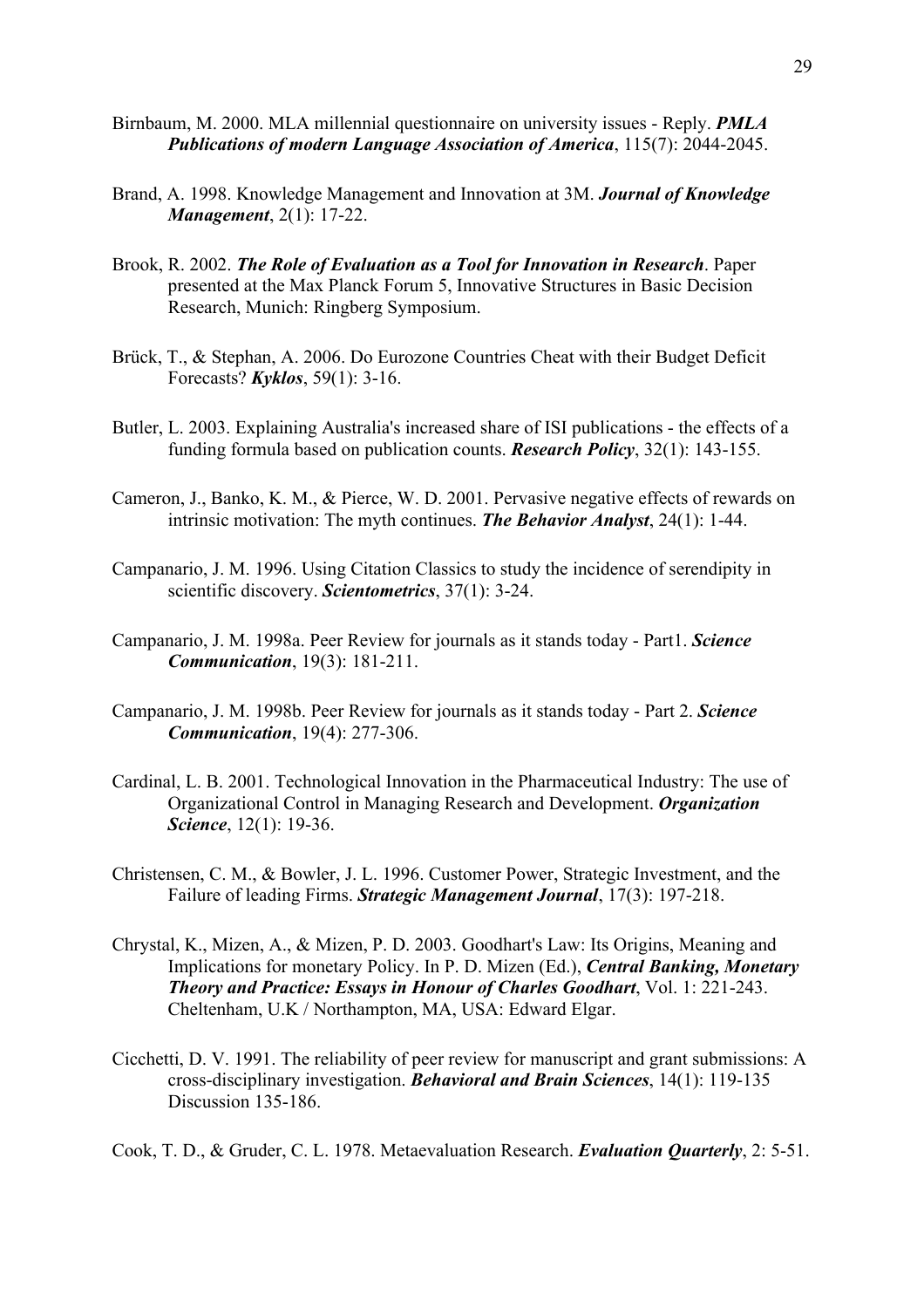- Birnbaum, M. 2000. MLA millennial questionnaire on university issues Reply. *PMLA Publications of modern Language Association of America*, 115(7): 2044-2045.
- Brand, A. 1998. Knowledge Management and Innovation at 3M. *Journal of Knowledge Management*, 2(1): 17-22.
- Brook, R. 2002. *The Role of Evaluation as a Tool for Innovation in Research*. Paper presented at the Max Planck Forum 5, Innovative Structures in Basic Decision Research, Munich: Ringberg Symposium.
- Brück, T., & Stephan, A. 2006. Do Eurozone Countries Cheat with their Budget Deficit Forecasts? *Kyklos*, 59(1): 3-16.
- Butler, L. 2003. Explaining Australia's increased share of ISI publications the effects of a funding formula based on publication counts. *Research Policy*, 32(1): 143-155.
- Cameron, J., Banko, K. M., & Pierce, W. D. 2001. Pervasive negative effects of rewards on intrinsic motivation: The myth continues. *The Behavior Analyst*, 24(1): 1-44.
- Campanario, J. M. 1996. Using Citation Classics to study the incidence of serendipity in scientific discovery. *Scientometrics*, 37(1): 3-24.
- Campanario, J. M. 1998a. Peer Review for journals as it stands today Part1. *Science Communication*, 19(3): 181-211.
- Campanario, J. M. 1998b. Peer Review for journals as it stands today Part 2. *Science Communication*, 19(4): 277-306.
- Cardinal, L. B. 2001. Technological Innovation in the Pharmaceutical Industry: The use of Organizational Control in Managing Research and Development. *Organization Science*, 12(1): 19-36.
- Christensen, C. M., & Bowler, J. L. 1996. Customer Power, Strategic Investment, and the Failure of leading Firms. *Strategic Management Journal*, 17(3): 197-218.
- Chrystal, K., Mizen, A., & Mizen, P. D. 2003. Goodhart's Law: Its Origins, Meaning and Implications for monetary Policy. In P. D. Mizen (Ed.), *Central Banking, Monetary Theory and Practice: Essays in Honour of Charles Goodhart*, Vol. 1: 221-243. Cheltenham, U.K / Northampton, MA, USA: Edward Elgar.
- Cicchetti, D. V. 1991. The reliability of peer review for manuscript and grant submissions: A cross-disciplinary investigation. *Behavioral and Brain Sciences*, 14(1): 119-135 Discussion 135-186.
- Cook, T. D., & Gruder, C. L. 1978. Metaevaluation Research. *Evaluation Quarterly*, 2: 5-51.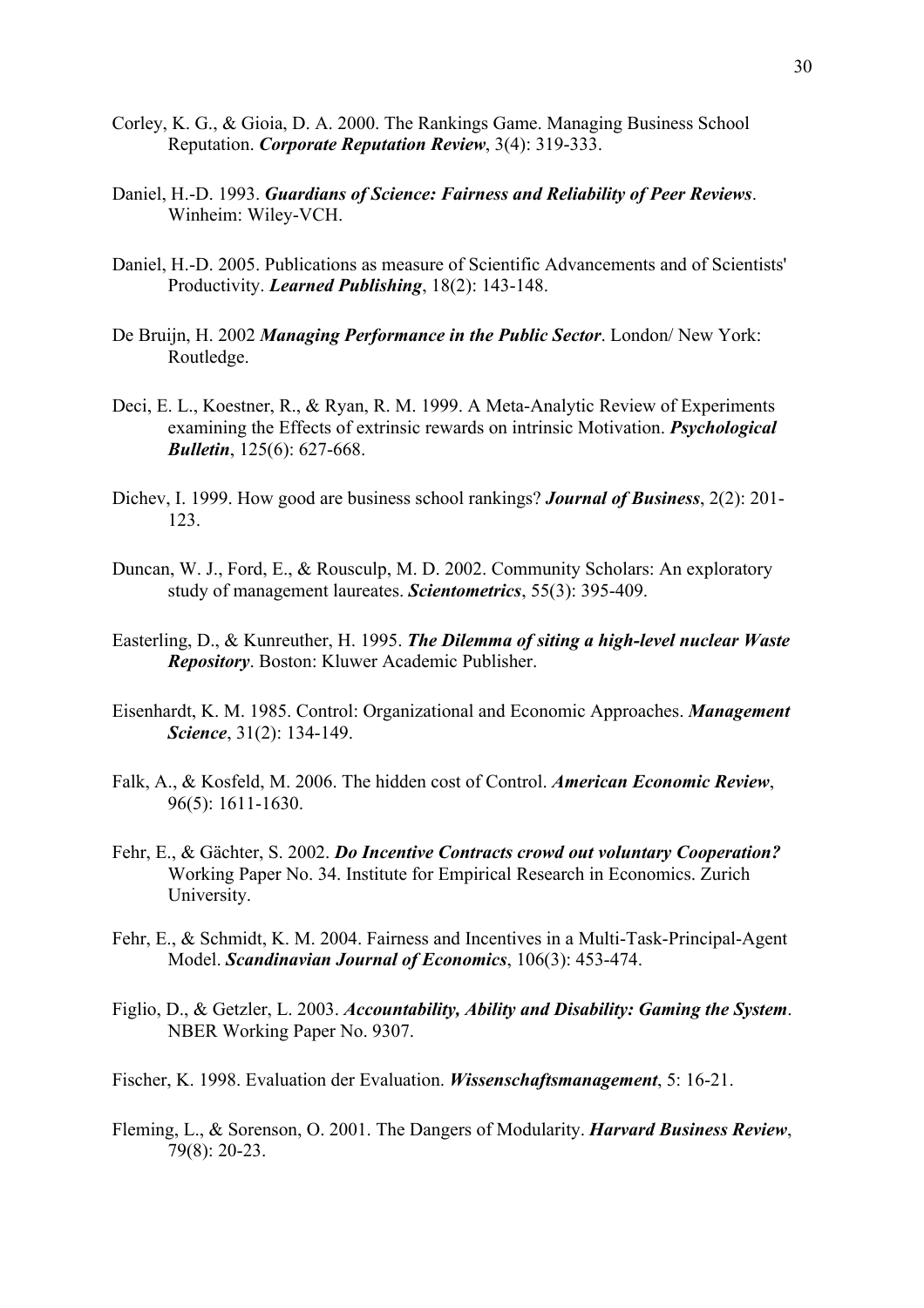- Corley, K. G., & Gioia, D. A. 2000. The Rankings Game. Managing Business School Reputation. *Corporate Reputation Review*, 3(4): 319-333.
- Daniel, H.-D. 1993. *Guardians of Science: Fairness and Reliability of Peer Reviews*. Winheim: Wiley-VCH.
- Daniel, H.-D. 2005. Publications as measure of Scientific Advancements and of Scientists' Productivity. *Learned Publishing*, 18(2): 143-148.
- De Bruijn, H. 2002 *Managing Performance in the Public Sector*. London/ New York: Routledge.
- Deci, E. L., Koestner, R., & Ryan, R. M. 1999. A Meta-Analytic Review of Experiments examining the Effects of extrinsic rewards on intrinsic Motivation. *Psychological Bulletin*, 125(6): 627-668.
- Dichev, I. 1999. How good are business school rankings? *Journal of Business*, 2(2): 201- 123.
- Duncan, W. J., Ford, E., & Rousculp, M. D. 2002. Community Scholars: An exploratory study of management laureates. *Scientometrics*, 55(3): 395-409.
- Easterling, D., & Kunreuther, H. 1995. *The Dilemma of siting a high-level nuclear Waste Repository*. Boston: Kluwer Academic Publisher.
- Eisenhardt, K. M. 1985. Control: Organizational and Economic Approaches. *Management Science*, 31(2): 134-149.
- Falk, A., & Kosfeld, M. 2006. The hidden cost of Control. *American Economic Review*, 96(5): 1611-1630.
- Fehr, E., & Gächter, S. 2002. *Do Incentive Contracts crowd out voluntary Cooperation?* Working Paper No. 34. Institute for Empirical Research in Economics. Zurich University.
- Fehr, E., & Schmidt, K. M. 2004. Fairness and Incentives in a Multi-Task-Principal-Agent Model. *Scandinavian Journal of Economics*, 106(3): 453-474.
- Figlio, D., & Getzler, L. 2003. *Accountability, Ability and Disability: Gaming the System*. NBER Working Paper No. 9307.
- Fischer, K. 1998. Evaluation der Evaluation. *Wissenschaftsmanagement*, 5: 16-21.
- Fleming, L., & Sorenson, O. 2001. The Dangers of Modularity. *Harvard Business Review*, 79(8): 20-23.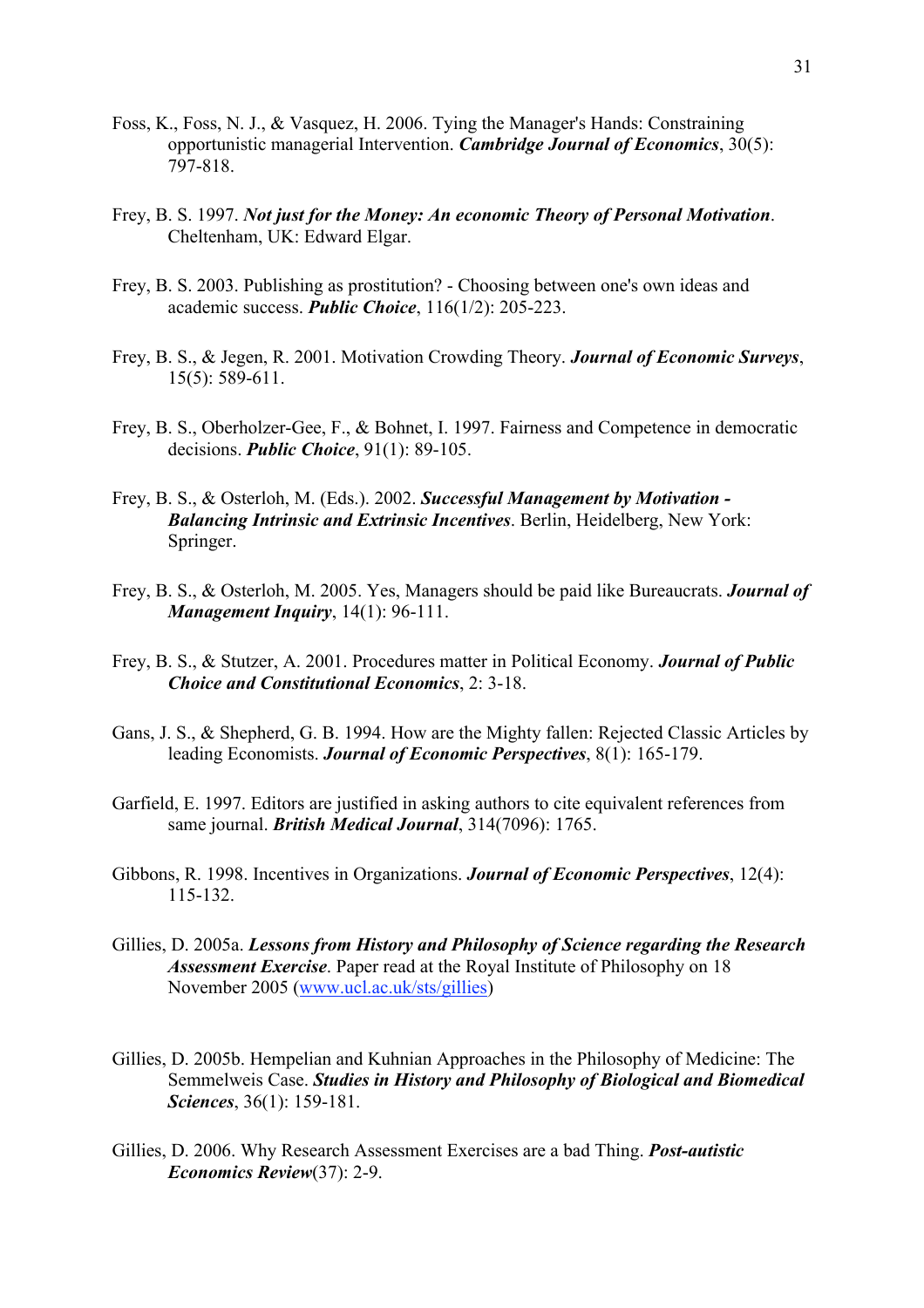- Foss, K., Foss, N. J., & Vasquez, H. 2006. Tying the Manager's Hands: Constraining opportunistic managerial Intervention. *Cambridge Journal of Economics*, 30(5): 797-818.
- Frey, B. S. 1997. *Not just for the Money: An economic Theory of Personal Motivation*. Cheltenham, UK: Edward Elgar.
- Frey, B. S. 2003. Publishing as prostitution? Choosing between one's own ideas and academic success. *Public Choice*, 116(1/2): 205-223.
- Frey, B. S., & Jegen, R. 2001. Motivation Crowding Theory. *Journal of Economic Surveys*, 15(5): 589-611.
- Frey, B. S., Oberholzer-Gee, F., & Bohnet, I. 1997. Fairness and Competence in democratic decisions. *Public Choice*, 91(1): 89-105.
- Frey, B. S., & Osterloh, M. (Eds.). 2002. *Successful Management by Motivation - Balancing Intrinsic and Extrinsic Incentives*. Berlin, Heidelberg, New York: Springer.
- Frey, B. S., & Osterloh, M. 2005. Yes, Managers should be paid like Bureaucrats. *Journal of Management Inquiry*, 14(1): 96-111.
- Frey, B. S., & Stutzer, A. 2001. Procedures matter in Political Economy. *Journal of Public Choice and Constitutional Economics*, 2: 3-18.
- Gans, J. S., & Shepherd, G. B. 1994. How are the Mighty fallen: Rejected Classic Articles by leading Economists. *Journal of Economic Perspectives*, 8(1): 165-179.
- Garfield, E. 1997. Editors are justified in asking authors to cite equivalent references from same journal. *British Medical Journal*, 314(7096): 1765.
- Gibbons, R. 1998. Incentives in Organizations. *Journal of Economic Perspectives*, 12(4): 115-132.
- Gillies, D. 2005a. *Lessons from History and Philosophy of Science regarding the Research Assessment Exercise*. Paper read at the Royal Institute of Philosophy on 18 November 2005 (www.ucl.ac.uk/sts/gillies)
- Gillies, D. 2005b. Hempelian and Kuhnian Approaches in the Philosophy of Medicine: The Semmelweis Case. *Studies in History and Philosophy of Biological and Biomedical Sciences*, 36(1): 159-181.
- Gillies, D. 2006. Why Research Assessment Exercises are a bad Thing. *Post-autistic Economics Review*(37): 2-9.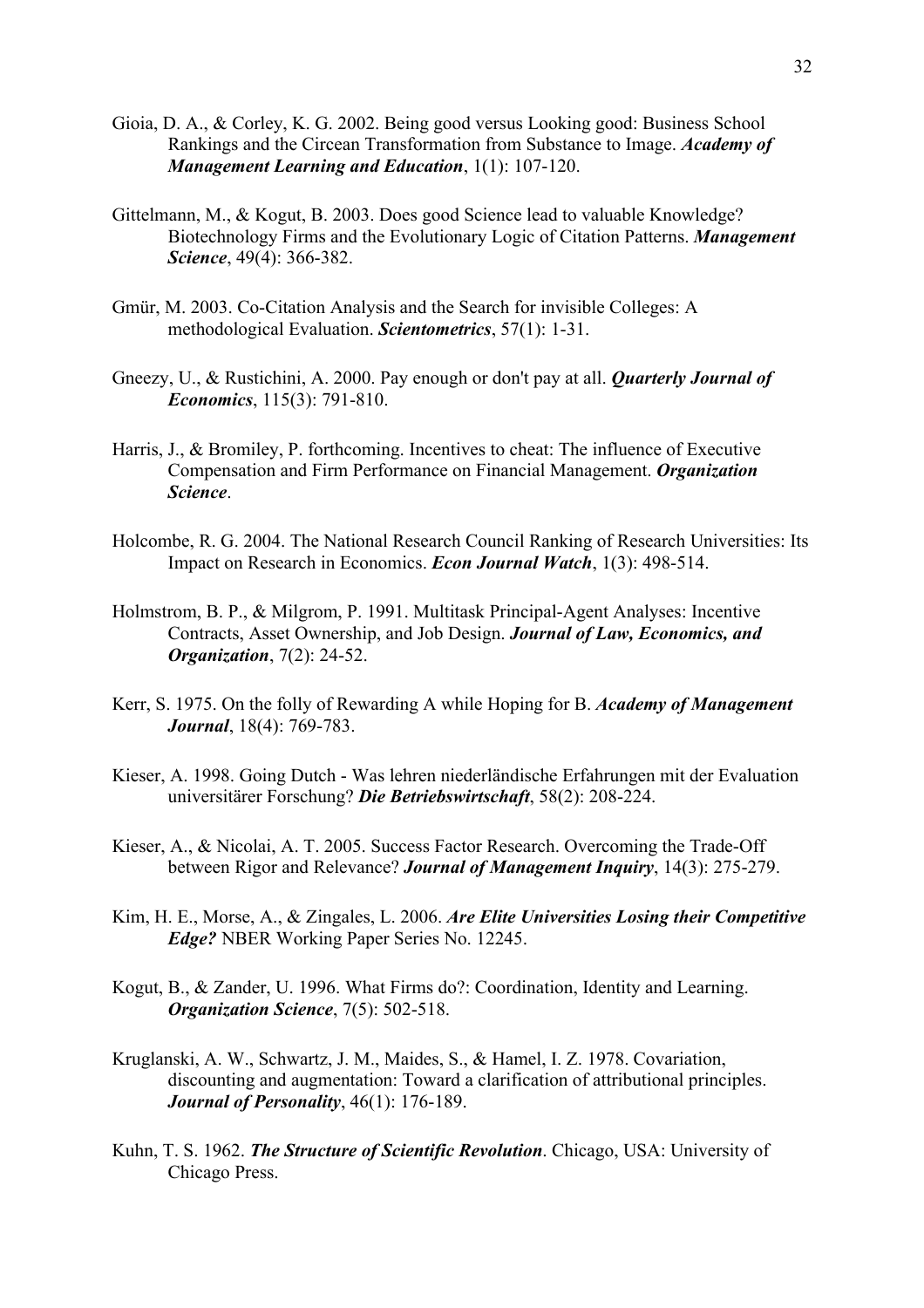- Gioia, D. A., & Corley, K. G. 2002. Being good versus Looking good: Business School Rankings and the Circean Transformation from Substance to Image. *Academy of Management Learning and Education*, 1(1): 107-120.
- Gittelmann, M., & Kogut, B. 2003. Does good Science lead to valuable Knowledge? Biotechnology Firms and the Evolutionary Logic of Citation Patterns. *Management Science*, 49(4): 366-382.
- Gmür, M. 2003. Co-Citation Analysis and the Search for invisible Colleges: A methodological Evaluation. *Scientometrics*, 57(1): 1-31.
- Gneezy, U., & Rustichini, A. 2000. Pay enough or don't pay at all. *Quarterly Journal of Economics*, 115(3): 791-810.
- Harris, J., & Bromiley, P. forthcoming. Incentives to cheat: The influence of Executive Compensation and Firm Performance on Financial Management. *Organization Science*.
- Holcombe, R. G. 2004. The National Research Council Ranking of Research Universities: Its Impact on Research in Economics. *Econ Journal Watch*, 1(3): 498-514.
- Holmstrom, B. P., & Milgrom, P. 1991. Multitask Principal-Agent Analyses: Incentive Contracts, Asset Ownership, and Job Design. *Journal of Law, Economics, and Organization*, 7(2): 24-52.
- Kerr, S. 1975. On the folly of Rewarding A while Hoping for B. *Academy of Management Journal*, 18(4): 769-783.
- Kieser, A. 1998. Going Dutch Was lehren niederländische Erfahrungen mit der Evaluation universitärer Forschung? *Die Betriebswirtschaft*, 58(2): 208-224.
- Kieser, A., & Nicolai, A. T. 2005. Success Factor Research. Overcoming the Trade-Off between Rigor and Relevance? *Journal of Management Inquiry*, 14(3): 275-279.
- Kim, H. E., Morse, A., & Zingales, L. 2006. *Are Elite Universities Losing their Competitive Edge?* NBER Working Paper Series No. 12245.
- Kogut, B., & Zander, U. 1996. What Firms do?: Coordination, Identity and Learning. *Organization Science*, 7(5): 502-518.
- Kruglanski, A. W., Schwartz, J. M., Maides, S., & Hamel, I. Z. 1978. Covariation, discounting and augmentation: Toward a clarification of attributional principles. *Journal of Personality*, 46(1): 176-189.
- Kuhn, T. S. 1962. *The Structure of Scientific Revolution*. Chicago, USA: University of Chicago Press.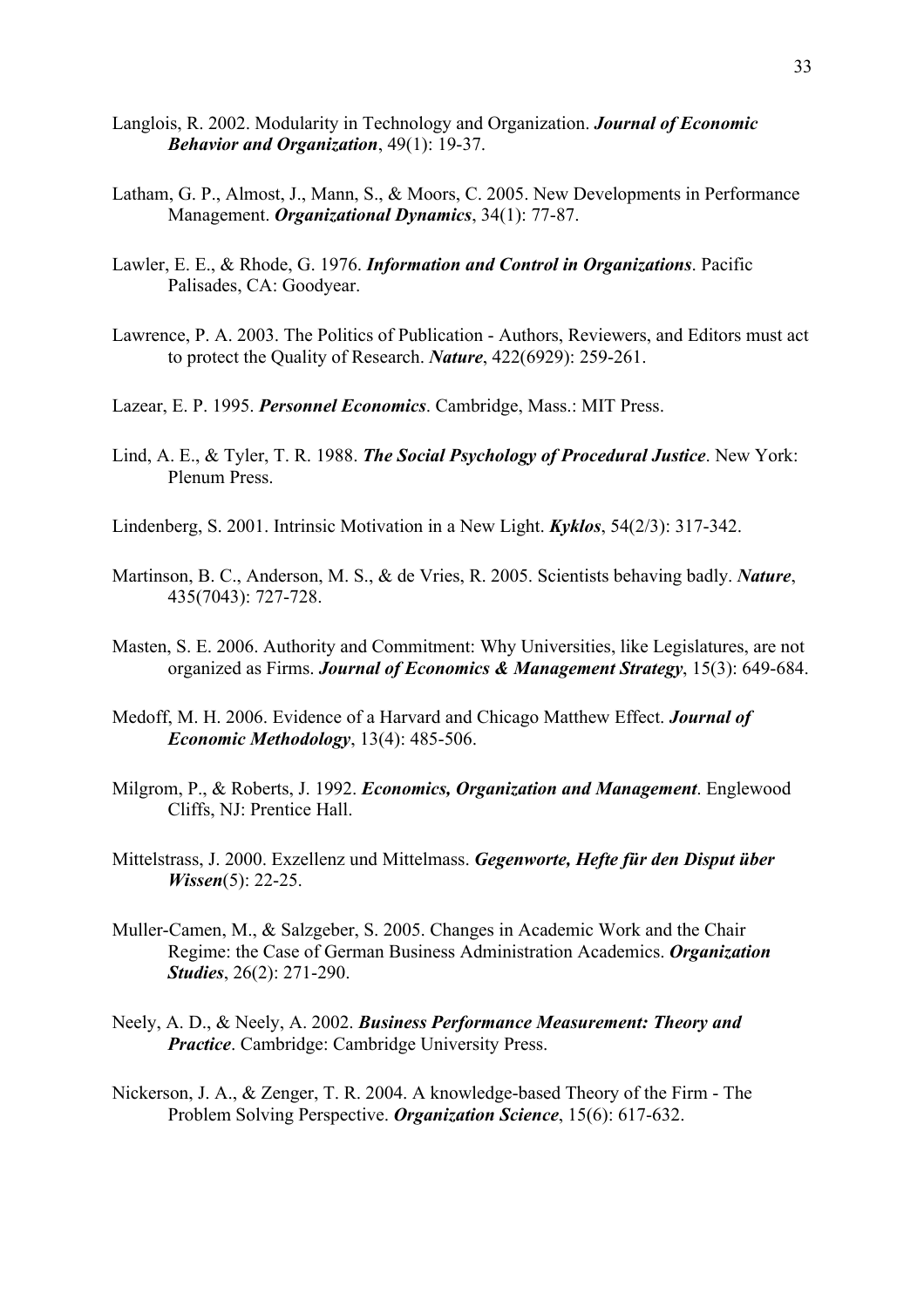- Langlois, R. 2002. Modularity in Technology and Organization. *Journal of Economic Behavior and Organization*, 49(1): 19-37.
- Latham, G. P., Almost, J., Mann, S., & Moors, C. 2005. New Developments in Performance Management. *Organizational Dynamics*, 34(1): 77-87.
- Lawler, E. E., & Rhode, G. 1976. *Information and Control in Organizations*. Pacific Palisades, CA: Goodyear.
- Lawrence, P. A. 2003. The Politics of Publication Authors, Reviewers, and Editors must act to protect the Quality of Research. *Nature*, 422(6929): 259-261.
- Lazear, E. P. 1995. *Personnel Economics*. Cambridge, Mass.: MIT Press.
- Lind, A. E., & Tyler, T. R. 1988. *The Social Psychology of Procedural Justice*. New York: Plenum Press.
- Lindenberg, S. 2001. Intrinsic Motivation in a New Light. *Kyklos*, 54(2/3): 317-342.
- Martinson, B. C., Anderson, M. S., & de Vries, R. 2005. Scientists behaving badly. *Nature*, 435(7043): 727-728.
- Masten, S. E. 2006. Authority and Commitment: Why Universities, like Legislatures, are not organized as Firms. *Journal of Economics & Management Strategy*, 15(3): 649-684.
- Medoff, M. H. 2006. Evidence of a Harvard and Chicago Matthew Effect. *Journal of Economic Methodology*, 13(4): 485-506.
- Milgrom, P., & Roberts, J. 1992. *Economics, Organization and Management*. Englewood Cliffs, NJ: Prentice Hall.
- Mittelstrass, J. 2000. Exzellenz und Mittelmass. *Gegenworte, Hefte für den Disput über Wissen*(5): 22-25.
- Muller-Camen, M., & Salzgeber, S. 2005. Changes in Academic Work and the Chair Regime: the Case of German Business Administration Academics. *Organization Studies*, 26(2): 271-290.
- Neely, A. D., & Neely, A. 2002. *Business Performance Measurement: Theory and Practice*. Cambridge: Cambridge University Press.
- Nickerson, J. A., & Zenger, T. R. 2004. A knowledge-based Theory of the Firm The Problem Solving Perspective. *Organization Science*, 15(6): 617-632.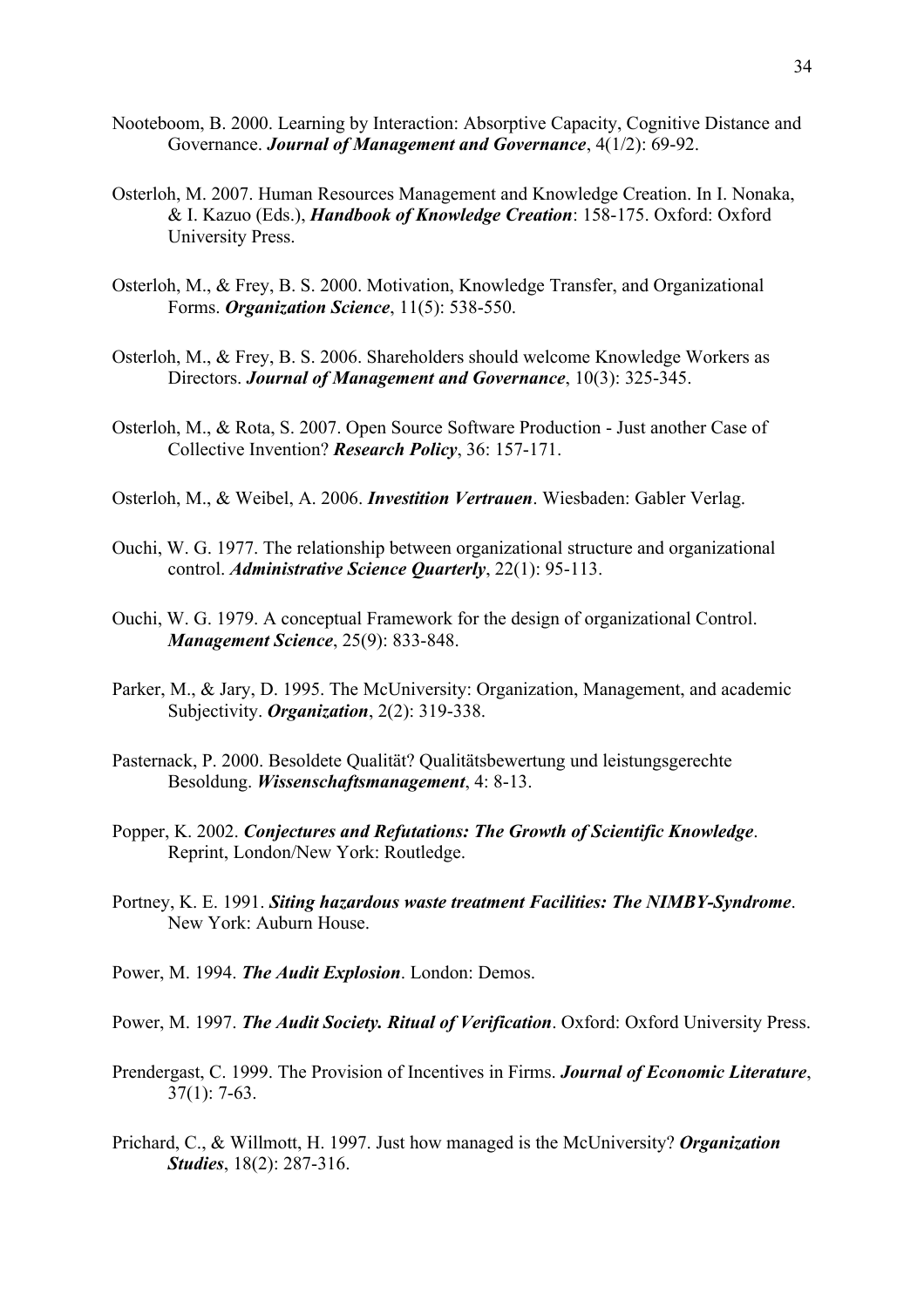- Nooteboom, B. 2000. Learning by Interaction: Absorptive Capacity, Cognitive Distance and Governance. *Journal of Management and Governance*, 4(1/2): 69-92.
- Osterloh, M. 2007. Human Resources Management and Knowledge Creation. In I. Nonaka, & I. Kazuo (Eds.), *Handbook of Knowledge Creation*: 158-175. Oxford: Oxford University Press.
- Osterloh, M., & Frey, B. S. 2000. Motivation, Knowledge Transfer, and Organizational Forms. *Organization Science*, 11(5): 538-550.
- Osterloh, M., & Frey, B. S. 2006. Shareholders should welcome Knowledge Workers as Directors. *Journal of Management and Governance*, 10(3): 325-345.
- Osterloh, M., & Rota, S. 2007. Open Source Software Production Just another Case of Collective Invention? *Research Policy*, 36: 157-171.
- Osterloh, M., & Weibel, A. 2006. *Investition Vertrauen*. Wiesbaden: Gabler Verlag.
- Ouchi, W. G. 1977. The relationship between organizational structure and organizational control. *Administrative Science Quarterly*, 22(1): 95-113.
- Ouchi, W. G. 1979. A conceptual Framework for the design of organizational Control. *Management Science*, 25(9): 833-848.
- Parker, M., & Jary, D. 1995. The McUniversity: Organization, Management, and academic Subjectivity. *Organization*, 2(2): 319-338.
- Pasternack, P. 2000. Besoldete Qualität? Qualitätsbewertung und leistungsgerechte Besoldung. *Wissenschaftsmanagement*, 4: 8-13.
- Popper, K. 2002. *Conjectures and Refutations: The Growth of Scientific Knowledge*. Reprint, London/New York: Routledge.
- Portney, K. E. 1991. *Siting hazardous waste treatment Facilities: The NIMBY-Syndrome*. New York: Auburn House.
- Power, M. 1994. *The Audit Explosion*. London: Demos.
- Power, M. 1997. *The Audit Society. Ritual of Verification*. Oxford: Oxford University Press.
- Prendergast, C. 1999. The Provision of Incentives in Firms. *Journal of Economic Literature*, 37(1): 7-63.
- Prichard, C., & Willmott, H. 1997. Just how managed is the McUniversity? *Organization Studies*, 18(2): 287-316.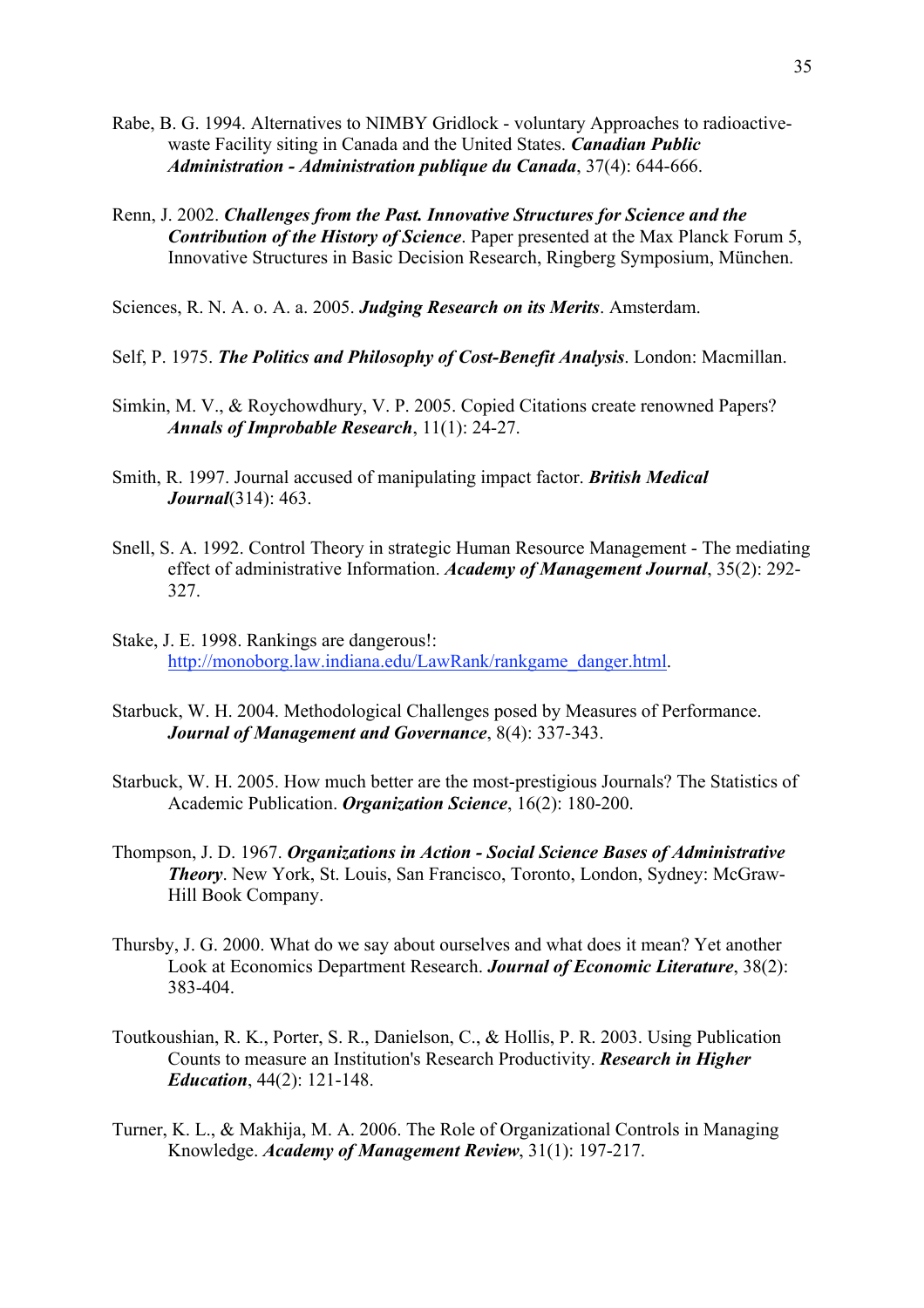- Rabe, B. G. 1994. Alternatives to NIMBY Gridlock voluntary Approaches to radioactivewaste Facility siting in Canada and the United States. *Canadian Public Administration - Administration publique du Canada*, 37(4): 644-666.
- Renn, J. 2002. *Challenges from the Past. Innovative Structures for Science and the Contribution of the History of Science*. Paper presented at the Max Planck Forum 5, Innovative Structures in Basic Decision Research, Ringberg Symposium, München.

Sciences, R. N. A. o. A. a. 2005. *Judging Research on its Merits*. Amsterdam.

- Self, P. 1975. *The Politics and Philosophy of Cost-Benefit Analysis*. London: Macmillan.
- Simkin, M. V., & Roychowdhury, V. P. 2005. Copied Citations create renowned Papers? *Annals of Improbable Research*, 11(1): 24-27.
- Smith, R. 1997. Journal accused of manipulating impact factor. *British Medical Journal*(314): 463.
- Snell, S. A. 1992. Control Theory in strategic Human Resource Management The mediating effect of administrative Information. *Academy of Management Journal*, 35(2): 292- 327.
- Stake, J. E. 1998. Rankings are dangerous!: http://monoborg.law.indiana.edu/LawRank/rankgame\_danger.html.
- Starbuck, W. H. 2004. Methodological Challenges posed by Measures of Performance. *Journal of Management and Governance*, 8(4): 337-343.
- Starbuck, W. H. 2005. How much better are the most-prestigious Journals? The Statistics of Academic Publication. *Organization Science*, 16(2): 180-200.
- Thompson, J. D. 1967. *Organizations in Action Social Science Bases of Administrative Theory*. New York, St. Louis, San Francisco, Toronto, London, Sydney: McGraw-Hill Book Company.
- Thursby, J. G. 2000. What do we say about ourselves and what does it mean? Yet another Look at Economics Department Research. *Journal of Economic Literature*, 38(2): 383-404.
- Toutkoushian, R. K., Porter, S. R., Danielson, C., & Hollis, P. R. 2003. Using Publication Counts to measure an Institution's Research Productivity. *Research in Higher Education*, 44(2): 121-148.
- Turner, K. L., & Makhija, M. A. 2006. The Role of Organizational Controls in Managing Knowledge. *Academy of Management Review*, 31(1): 197-217.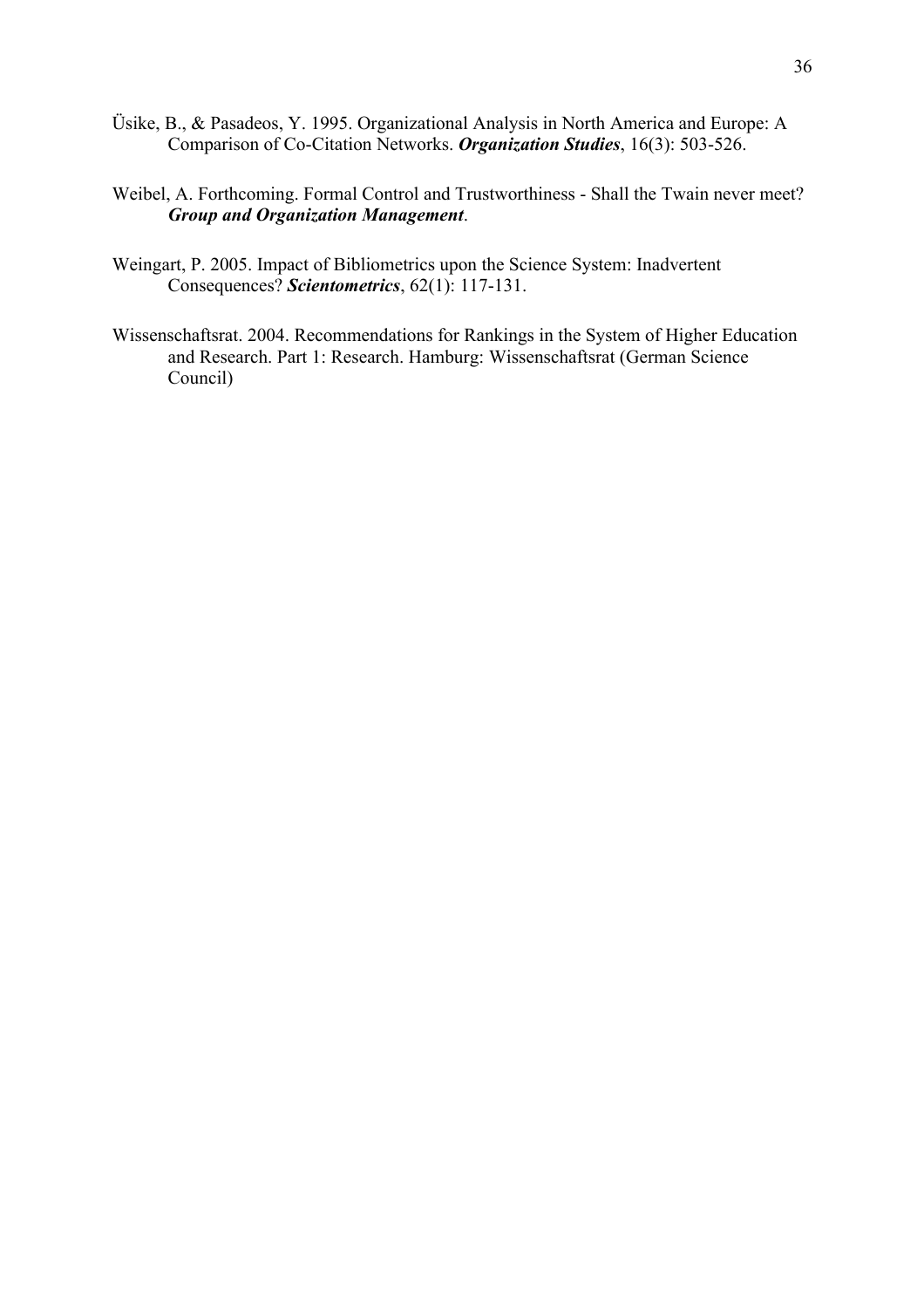- Üsike, B., & Pasadeos, Y. 1995. Organizational Analysis in North America and Europe: A Comparison of Co-Citation Networks. *Organization Studies*, 16(3): 503-526.
- Weibel, A. Forthcoming. Formal Control and Trustworthiness Shall the Twain never meet? *Group and Organization Management*.
- Weingart, P. 2005. Impact of Bibliometrics upon the Science System: Inadvertent Consequences? *Scientometrics*, 62(1): 117-131.
- Wissenschaftsrat. 2004. Recommendations for Rankings in the System of Higher Education and Research. Part 1: Research. Hamburg: Wissenschaftsrat (German Science Council)